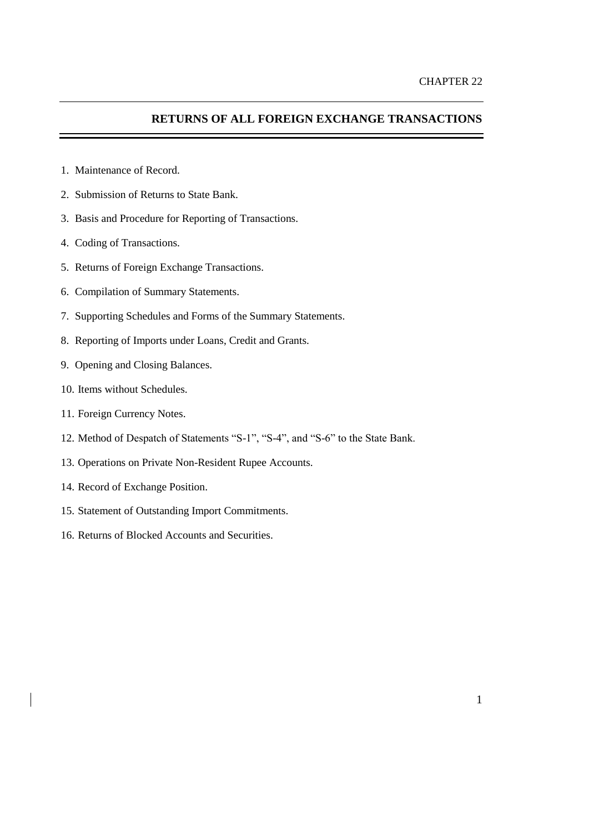# **RETURNS OF ALL FOREIGN EXCHANGE TRANSACTIONS**

- 1. Maintenance of Record.
- 2. Submission of Returns to State Bank.
- 3. Basis and Procedure for Reporting of Transactions.
- 4. Coding of Transactions.
- 5. Returns of Foreign Exchange Transactions.
- 6. Compilation of Summary Statements.
- 7. Supporting Schedules and Forms of the Summary Statements.
- 8. Reporting of Imports under Loans, Credit and Grants.
- 9. Opening and Closing Balances.
- 10. Items without Schedules.
- 11. Foreign Currency Notes.
- 12. Method of Despatch of Statements "S-1", "S-4", and "S-6" to the State Bank.
- 13. Operations on Private Non-Resident Rupee Accounts.
- 14. Record of Exchange Position.
- 15. Statement of Outstanding Import Commitments.
- 16. Returns of Blocked Accounts and Securities.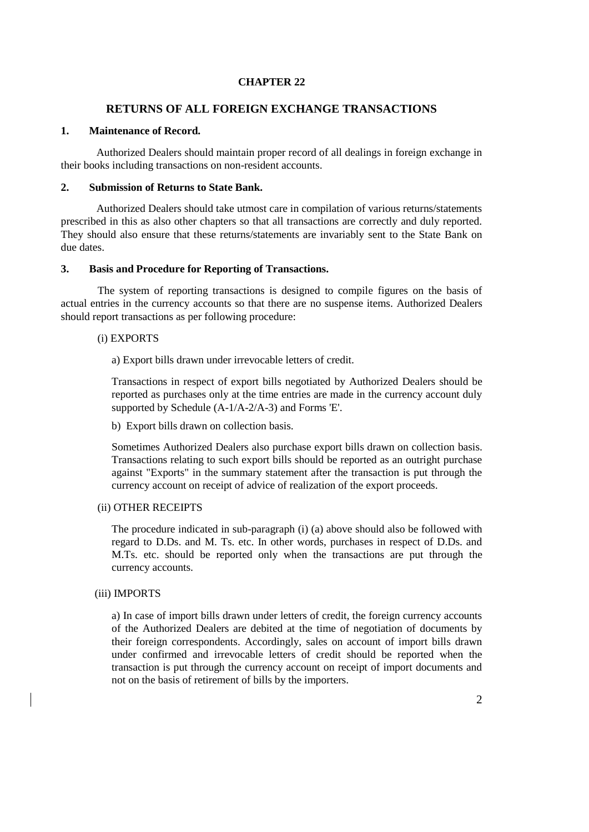### **CHAPTER 22**

### **RETURNS OF ALL FOREIGN EXCHANGE TRANSACTIONS**

#### **1. Maintenance of Record.**

Authorized Dealers should maintain proper record of all dealings in foreign exchange in their books including transactions on non-resident accounts.

#### **2. Submission of Returns to State Bank.**

Authorized Dealers should take utmost care in compilation of various returns/statements prescribed in this as also other chapters so that all transactions are correctly and duly reported. They should also ensure that these returns/statements are invariably sent to the State Bank on due dates.

#### **3. Basis and Procedure for Reporting of Transactions.**

The system of reporting transactions is designed to compile figures on the basis of actual entries in the currency accounts so that there are no suspense items. Authorized Dealers should report transactions as per following procedure:

#### (i) EXPORTS

a) Export bills drawn under irrevocable letters of credit.

Transactions in respect of export bills negotiated by Authorized Dealers should be reported as purchases only at the time entries are made in the currency account duly supported by Schedule (A-1/A-2/A-3) and Forms 'E'.

b) Export bills drawn on collection basis.

Sometimes Authorized Dealers also purchase export bills drawn on collection basis. Transactions relating to such export bills should be reported as an outright purchase against "Exports" in the summary statement after the transaction is put through the currency account on receipt of advice of realization of the export proceeds.

### (ii) OTHER RECEIPTS

The procedure indicated in sub-paragraph (i) (a) above should also be followed with regard to D.Ds. and M. Ts. etc. In other words, purchases in respect of D.Ds. and M.Ts. etc. should be reported only when the transactions are put through the currency accounts.

#### (iii) IMPORTS

a) In case of import bills drawn under letters of credit, the foreign currency accounts of the Authorized Dealers are debited at the time of negotiation of documents by their foreign correspondents. Accordingly, sales on account of import bills drawn under confirmed and irrevocable letters of credit should be reported when the transaction is put through the currency account on receipt of import documents and not on the basis of retirement of bills by the importers.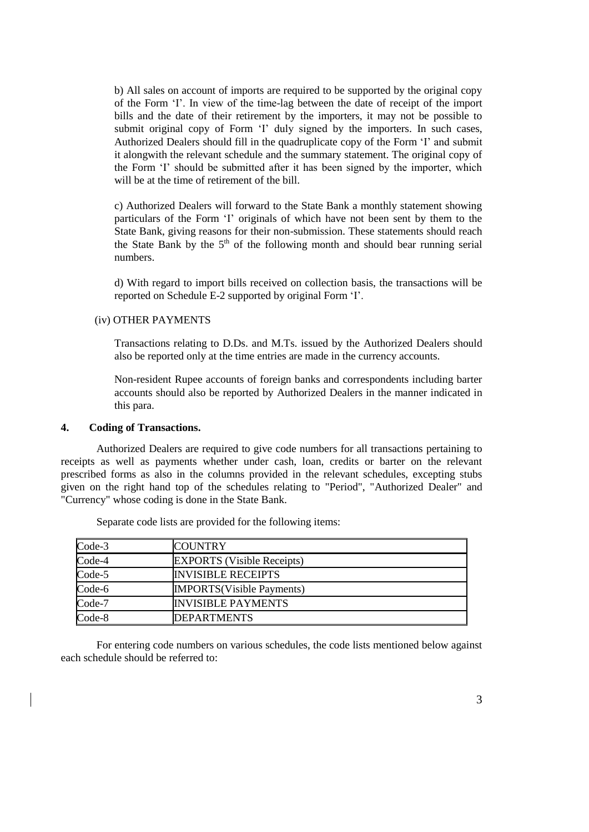b) All sales on account of imports are required to be supported by the original copy of the [Form](../../AppData/Local/Microsoft/Windows/Updated%20FE%20Manual/appendix%20files/appendix%205/ap5-32.htm) 'I'. In view of the time-lag between the date of receipt of the import bills and the date of their retirement by the importers, it may not be possible to submit original copy of [Form](../../AppData/Local/Microsoft/Windows/Updated%20FE%20Manual/appendix%20files/appendix%205/ap5-32.htm) 'I' duly signed by the importers. In such cases, Authorized Dealers should fill in the quadruplicate copy of the [Form](../../AppData/Local/Microsoft/Windows/Updated%20FE%20Manual/appendix%20files/appendix%205/ap5-32.htm) 'I' and submit it alongwith the relevant schedule and the summary statement. The original copy of the [Form](../../AppData/Local/Microsoft/Windows/Updated%20FE%20Manual/appendix%20files/appendix%205/ap5-32.htm) 'I' should be submitted after it has been signed by the importer, which will be at the time of retirement of the bill.

c) Authorized Dealers will forward to the State Bank a monthly statement showing particulars of the [Form](../../AppData/Local/Microsoft/Windows/Updated%20FE%20Manual/appendix%20files/appendix%205/ap5-32.htm) 'I' originals of which have not been sent by them to the State Bank, giving reasons for their non-submission. These statements should reach the State Bank by the  $5<sup>th</sup>$  of the following month and should bear running serial numbers.

d) With regard to import bills received on collection basis, the transactions will be reported on [Schedule E-2](../../AppData/Local/Microsoft/Windows/Temporary%20Internet%20Files/appendix%20files/appendix%205/ap5-109.htm) supported by original [Form](../../AppData/Local/Microsoft/Windows/Updated%20FE%20Manual/appendix%20files/appendix%205/ap5-32.htm) 'I'.

### (iv) OTHER PAYMENTS

Transactions relating to D.Ds. and M.Ts. issued by the Authorized Dealers should also be reported only at the time entries are made in the currency accounts.

Non-resident Rupee accounts of foreign banks and correspondents including barter accounts should also be reported by Authorized Dealers in the manner indicated in this para.

#### **4. Coding of Transactions.**

Authorized Dealers are required to give code numbers for all transactions pertaining to receipts as well as payments whether under cash, loan, credits or barter on the relevant prescribed forms as also in the columns provided in the relevant schedules, excepting stubs given on the right hand top of the schedules relating to "Period", "Authorized Dealer" and "Currency" whose coding is done in the State Bank.

| Code-3 | <b>COUNTRY</b>                    |  |
|--------|-----------------------------------|--|
| Code-4 | <b>EXPORTS</b> (Visible Receipts) |  |
| Code-5 | <b>INVISIBLE RECEIPTS</b>         |  |
| Code-6 | <b>IMPORTS</b> (Visible Payments) |  |
| Code-7 | <b>INVISIBLE PAYMENTS</b>         |  |
| Code-8 | <b>DEPARTMENTS</b>                |  |

Separate code lists are provided for the following items:

For entering code numbers on various schedules, the code lists mentioned below against each schedule should be referred to: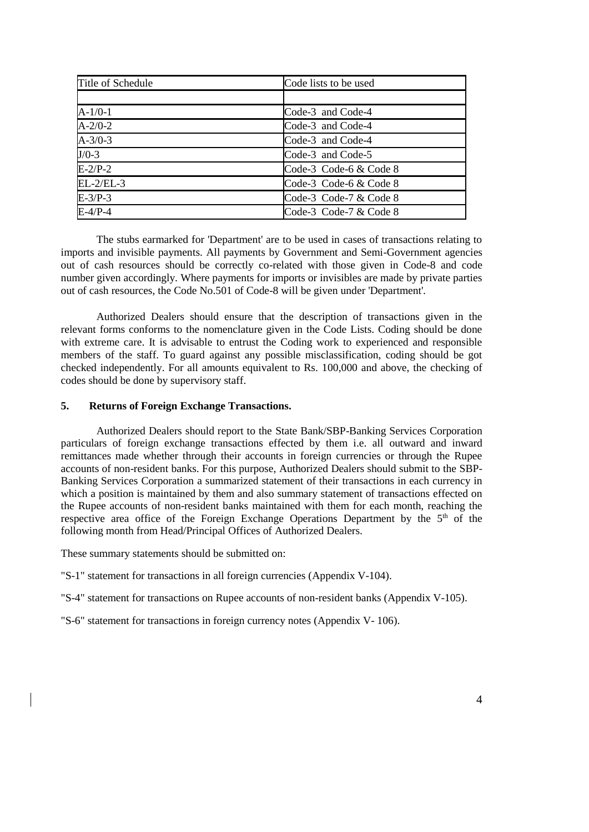| Title of Schedule | Code lists to be used  |
|-------------------|------------------------|
|                   |                        |
| $A-1/0-1$         | Code-3 and Code-4      |
| $A - 2/0 - 2$     | Code-3 and Code-4      |
| $A - 3/0 - 3$     | Code-3 and Code-4      |
| $J/O-3$           | Code-3 and Code-5      |
| $E-2/P-2$         | Code-3 Code-6 & Code 8 |
| $EL-2/EL-3$       | Code-3 Code-6 & Code 8 |
| $E-3/P-3$         | Code-3 Code-7 & Code 8 |
| $E-4/P-4$         | Code-3 Code-7 & Code 8 |

The stubs earmarked for 'Department' are to be used in cases of transactions relating to imports and invisible payments. All payments by Government and Semi-Government agencies out of cash resources should be correctly co-related with those given in Code-8 and code number given accordingly. Where payments for imports or invisibles are made by private parties out of cash resources, the Code No.501 of Code-8 will be given under 'Department'.

Authorized Dealers should ensure that the description of transactions given in the relevant forms conforms to the nomenclature given in the Code Lists. Coding should be done with extreme care. It is advisable to entrust the Coding work to experienced and responsible members of the staff. To guard against any possible misclassification, coding should be got checked independently. For all amounts equivalent to Rs. 100,000 and above, the checking of codes should be done by supervisory staff.

### **5. Returns of Foreign Exchange Transactions.**

Authorized Dealers should report to the State Bank/SBP-Banking Services Corporation particulars of foreign exchange transactions effected by them i.e. all outward and inward remittances made whether through their accounts in foreign currencies or through the Rupee accounts of non-resident banks. For this purpose, Authorized Dealers should submit to the SBP-Banking Services Corporation a summarized statement of their transactions in each currency in which a position is maintained by them and also summary statement of transactions effected on the Rupee accounts of non-resident banks maintained with them for each month, reaching the respective area office of the Foreign Exchange Operations Department by the 5<sup>th</sup> of the following month from Head/Principal Offices of Authorized Dealers.

These summary statements should be submitted on:

["S-1" statement](../../AppData/Local/Microsoft/Windows/Temporary%20Internet%20Files/appendix%20files/appendix%205/ap5-101.htm) for transactions in all foreign currencies [\(Appendix V-1](../../AppData/Local/Microsoft/Windows/Temporary%20Internet%20Files/appendix%20files/appendix%205/ap5-101.htm)04).

["S-4" statement](../../AppData/Local/Microsoft/Windows/Temporary%20Internet%20Files/appendix%20files/appendix%205/ap5-102.htm) for transactions on Rupee accounts of non-resident banks [\(Appendix V-1](../../AppData/Local/Microsoft/Windows/Temporary%20Internet%20Files/appendix%20files/appendix%205/ap5-102.htm)05).

["S-6" statement](../../AppData/Local/Microsoft/Windows/Temporary%20Internet%20Files/appendix%20files/appendix%205/ap5-104.htm) for transactions in foreign currency notes [\(Appendix V-](../../AppData/Local/Microsoft/Windows/Temporary%20Internet%20Files/appendix%20files/appendix%205/ap5-104.htm) 106).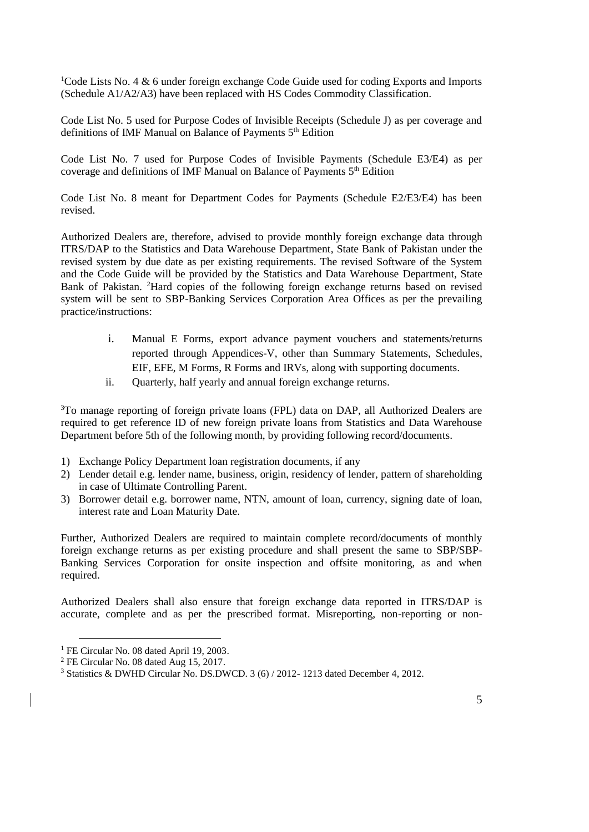<sup>1</sup>Code Lists No. 4  $\&$  6 under foreign exchange Code Guide used for coding Exports and Imports (Schedule A1/A2/A3) have been replaced with HS Codes Commodity Classification.

Code List No. 5 used for Purpose Codes of Invisible Receipts (Schedule J) as per coverage and definitions of IMF Manual on Balance of Payments 5<sup>th</sup> Edition

Code List No. 7 used for Purpose Codes of Invisible Payments (Schedule E3/E4) as per coverage and definitions of IMF Manual on Balance of Payments  $5<sup>th</sup>$  Edition

Code List No. 8 meant for Department Codes for Payments (Schedule E2/E3/E4) has been revised.

Authorized Dealers are, therefore, advised to provide monthly foreign exchange data through ITRS/DAP to the Statistics and Data Warehouse Department, State Bank of Pakistan under the revised system by due date as per existing requirements. The revised Software of the System and the Code Guide will be provided by the Statistics and Data Warehouse Department, State Bank of Pakistan. <sup>2</sup>Hard copies of the following foreign exchange returns based on revised system will be sent to SBP-Banking Services Corporation Area Offices as per the prevailing practice/instructions:

- i. Manual E Forms, export advance payment vouchers and statements/returns reported through Appendices-V, other than Summary Statements, Schedules, EIF, EFE, M Forms, R Forms and IRVs, along with supporting documents.
- ii. Quarterly, half yearly and annual foreign exchange returns.

<sup>3</sup>To manage reporting of foreign private loans (FPL) data on DAP, all Authorized Dealers are required to get reference ID of new foreign private loans from Statistics and Data Warehouse Department before 5th of the following month, by providing following record/documents.

- 1) Exchange Policy Department loan registration documents, if any
- 2) Lender detail e.g. lender name, business, origin, residency of lender, pattern of shareholding in case of Ultimate Controlling Parent.
- 3) Borrower detail e.g. borrower name, NTN, amount of loan, currency, signing date of loan, interest rate and Loan Maturity Date.

Further, Authorized Dealers are required to maintain complete record/documents of monthly foreign exchange returns as per existing procedure and shall present the same to SBP/SBP-Banking Services Corporation for onsite inspection and offsite monitoring, as and when required.

Authorized Dealers shall also ensure that foreign exchange data reported in ITRS/DAP is accurate, complete and as per the prescribed format. Misreporting, non-reporting or non-

<sup>&</sup>lt;sup>1</sup> FE Circular No. 08 dated April 19, 2003.

<sup>2</sup> FE Circular No. 08 dated Aug 15, 2017.

<sup>3</sup> Statistics & DWHD Circular No. DS.DWCD. 3 (6) / 2012- 1213 dated December 4, 2012.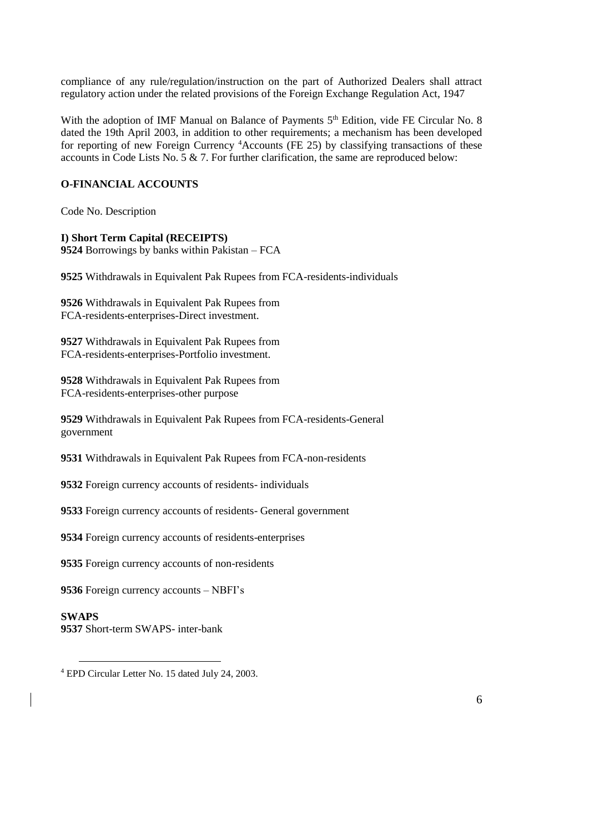compliance of any rule/regulation/instruction on the part of Authorized Dealers shall attract regulatory action under the related provisions of the Foreign Exchange Regulation Act, 1947

With the adoption of IMF Manual on Balance of Payments 5<sup>th</sup> Edition, vide FE Circular No. 8 dated the 19th April 2003, in addition to other requirements; a mechanism has been developed for reporting of new Foreign Currency <sup>4</sup>Accounts (FE 25) by classifying transactions of these accounts in Code Lists No. 5 & 7. For further clarification, the same are reproduced below:

# **O-FINANCIAL ACCOUNTS**

Code No. Description

### **I) Short Term Capital (RECEIPTS)**

**9524** Borrowings by banks within Pakistan – FCA

**9525** Withdrawals in Equivalent Pak Rupees from FCA-residents-individuals

**9526** Withdrawals in Equivalent Pak Rupees from FCA-residents-enterprises-Direct investment.

**9527** Withdrawals in Equivalent Pak Rupees from FCA-residents-enterprises-Portfolio investment.

**9528** Withdrawals in Equivalent Pak Rupees from FCA-residents-enterprises-other purpose

**9529** Withdrawals in Equivalent Pak Rupees from FCA-residents-General government

**9531** Withdrawals in Equivalent Pak Rupees from FCA-non-residents

**9532** Foreign currency accounts of residents- individuals

**9533** Foreign currency accounts of residents- General government

**9534** Foreign currency accounts of residents-enterprises

**9535** Foreign currency accounts of non-residents

**9536** Foreign currency accounts – NBFI's

### **SWAPS 9537** Short-term SWAPS- inter-bank

 <sup>4</sup> EPD Circular Letter No. 15 dated July 24, 2003.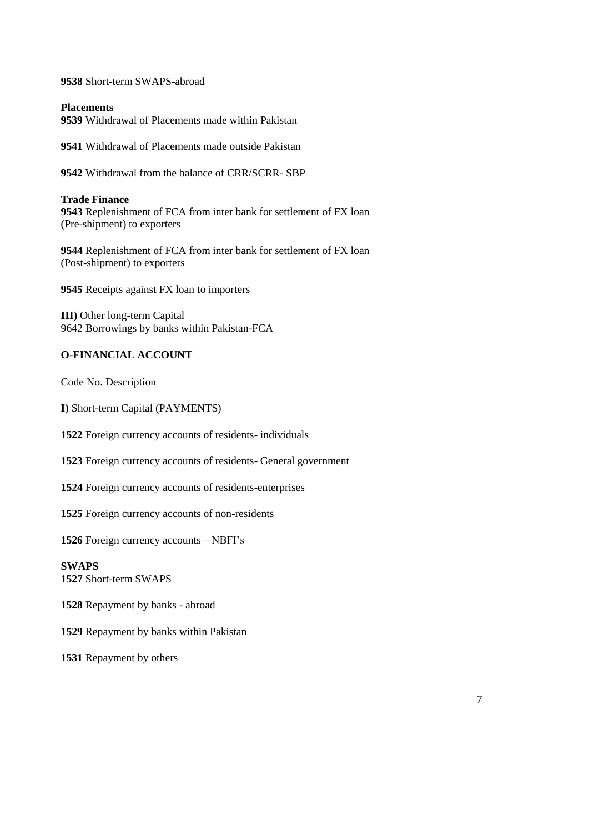Short-term SWAPS-abroad

**Placements**  Withdrawal of Placements made within Pakistan

Withdrawal of Placements made outside Pakistan

Withdrawal from the balance of CRR/SCRR- SBP

### **Trade Finance**

 Replenishment of FCA from inter bank for settlement of FX loan (Pre-shipment) to exporters

 Replenishment of FCA from inter bank for settlement of FX loan (Post-shipment) to exporters

Receipts against FX loan to importers

**III)** Other long-term Capital 9642 Borrowings by banks within Pakistan-FCA

### **O-FINANCIAL ACCOUNT**

Code No. Description

**I)** Short-term Capital (PAYMENTS)

Foreign currency accounts of residents- individuals

Foreign currency accounts of residents- General government

Foreign currency accounts of residents-enterprises

Foreign currency accounts of non-residents

Foreign currency accounts – NBFI's

**SWAPS** Short-term SWAPS

Repayment by banks - abroad

Repayment by banks within Pakistan

Repayment by others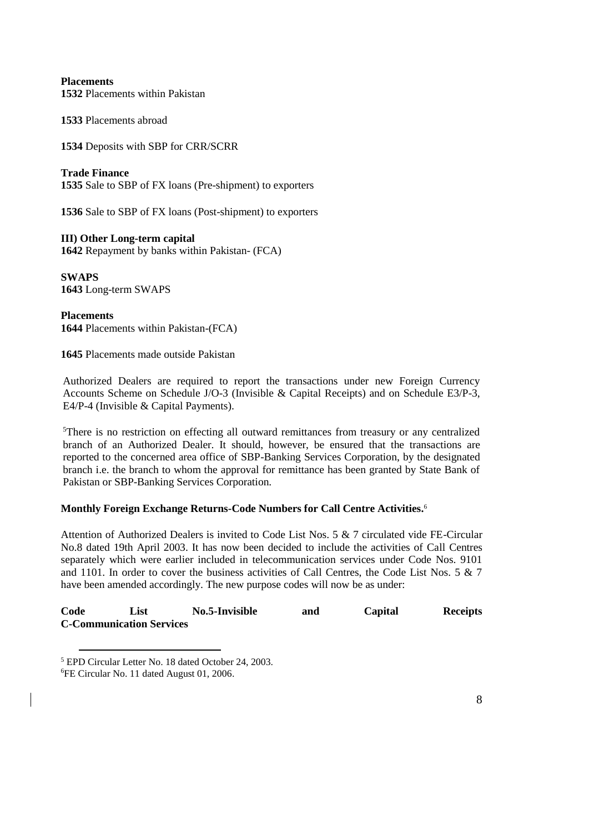# **Placements**

**1532** Placements within Pakistan

**1533** Placements abroad

**1534** Deposits with SBP for CRR/SCRR

### **Trade Finance**

**1535** Sale to SBP of FX loans (Pre-shipment) to exporters

**1536** Sale to SBP of FX loans (Post-shipment) to exporters

### **III) Other Long-term capital**

**1642** Repayment by banks within Pakistan- (FCA)

**SWAPS 1643** Long-term SWAPS

**Placements 1644** Placements within Pakistan-(FCA)

**1645** Placements made outside Pakistan

Authorized Dealers are required to report the transactions under new Foreign Currency Accounts Scheme on Schedule J/O-3 (Invisible & Capital Receipts) and on Schedule E3/P-3, E4/P-4 (Invisible & Capital Payments).

<sup>5</sup>There is no restriction on effecting all outward remittances from treasury or any centralized branch of an Authorized Dealer. It should, however, be ensured that the transactions are reported to the concerned area office of SBP-Banking Services Corporation, by the designated branch i.e. the branch to whom the approval for remittance has been granted by State Bank of Pakistan or SBP-Banking Services Corporation.

### **Monthly Foreign Exchange Returns-Code Numbers for Call Centre Activities.** 6

Attention of Authorized Dealers is invited to Code List Nos. 5 & 7 circulated vide FE-Circular No.8 dated 19th April 2003. It has now been decided to include the activities of Call Centres separately which were earlier included in telecommunication services under Code Nos. 9101 and 1101. In order to cover the business activities of Call Centres, the Code List Nos. 5 & 7 have been amended accordingly. The new purpose codes will now be as under:

| Code | List                            | No.5-Invisible | and | Capital | <b>Receipts</b> |
|------|---------------------------------|----------------|-----|---------|-----------------|
|      | <b>C-Communication Services</b> |                |     |         |                 |

 <sup>5</sup> EPD Circular Letter No. 18 dated October 24, 2003. 6FE Circular No. 11 dated August 01, 2006.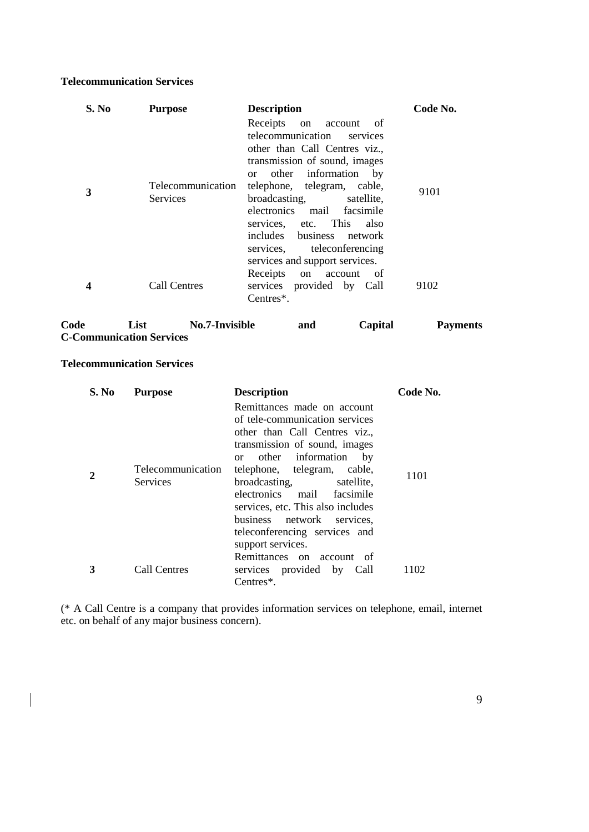## **Telecommunication Services**

| S. No | <b>Purpose</b>                       | <b>Description</b>                                                                                                                                                                                                                          | Code No. |
|-------|--------------------------------------|---------------------------------------------------------------------------------------------------------------------------------------------------------------------------------------------------------------------------------------------|----------|
|       |                                      | Receipts on account of<br>telecommunication<br>services<br>other than Call Centres viz.,<br>transmission of sound, images<br>or other information<br>by                                                                                     |          |
| 3     | <b>Telecommunication</b><br>Services | telephone, telegram, cable,<br>broadcasting, satellite,<br>electronics mail facsimile<br>services, etc. This<br>also<br>includes business network<br>services, teleconferencing<br>services and support services.<br>Receipts on account of | 9101     |
|       | Call Centres                         | services provided by Call<br>Centres*.                                                                                                                                                                                                      | 9102     |

| Code | List                            | No.7-Invisible | and | Capital | <b>Payments</b> |
|------|---------------------------------|----------------|-----|---------|-----------------|
|      | <b>C-Communication Services</b> |                |     |         |                 |

### **Telecommunication Services**

 $\overline{\phantom{a}}$ 

| S. No | <b>Purpose</b>    | <b>Description</b>                | Code No. |
|-------|-------------------|-----------------------------------|----------|
|       |                   | Remittances made on account       |          |
|       |                   | of tele-communication services    |          |
|       |                   | other than Call Centres viz.,     |          |
|       |                   | transmission of sound, images     |          |
|       |                   | or other information<br>by        |          |
|       | Telecommunication | telephone, telegram, cable,       | 1101     |
|       | <b>Services</b>   | broadcasting,<br>satellite.       |          |
|       |                   | electronics mail facsimile        |          |
|       |                   | services, etc. This also includes |          |
|       |                   | business network services,        |          |
|       |                   | teleconferencing services and     |          |
|       |                   | support services.                 |          |
|       |                   | Remittances on account of         |          |
|       | Call Centres      | services provided by Call         | 1102     |
|       |                   | Centres $*$ .                     |          |
|       |                   |                                   |          |

(\* A Call Centre is a company that provides information services on telephone, email, internet etc. on behalf of any major business concern).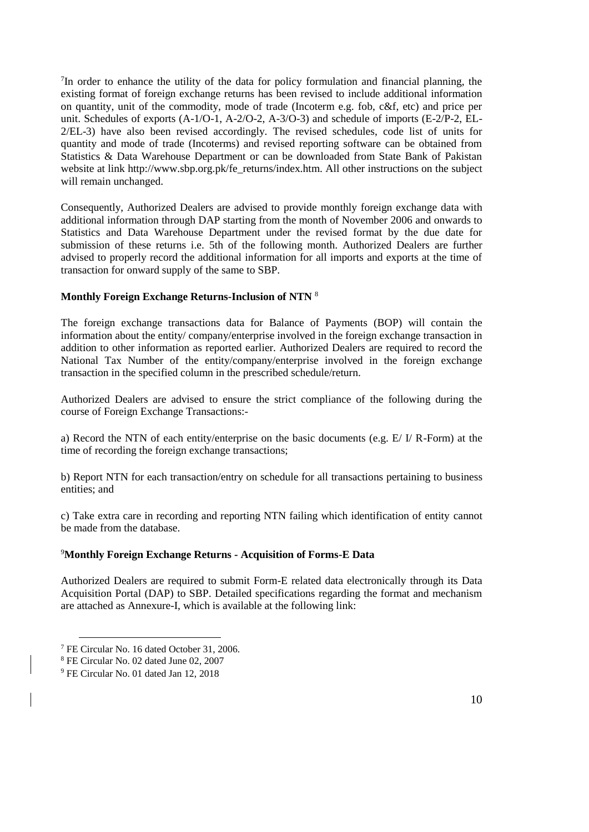7 In order to enhance the utility of the data for policy formulation and financial planning, the existing format of foreign exchange returns has been revised to include additional information on quantity, unit of the commodity, mode of trade (Incoterm e.g. fob, c&f, etc) and price per unit. Schedules of exports (A-1/O-1, A-2/O-2, A-3/O-3) and schedule of imports (E-2/P-2, EL-2/EL-3) have also been revised accordingly. The revised schedules, code list of units for quantity and mode of trade (Incoterms) and revised reporting software can be obtained from Statistics & Data Warehouse Department or can be downloaded from State Bank of Pakistan website at link [http://www.sbp.org.pk/fe\\_returns/index.htm.](http://www.sbp.org.pk/fe_returns/index.htm) All other instructions on the subject will remain unchanged.

Consequently, Authorized Dealers are advised to provide monthly foreign exchange data with additional information through DAP starting from the month of November 2006 and onwards to Statistics and Data Warehouse Department under the revised format by the due date for submission of these returns i.e. 5th of the following month. Authorized Dealers are further advised to properly record the additional information for all imports and exports at the time of transaction for onward supply of the same to SBP.

### **Monthly Foreign Exchange Returns-Inclusion of NTN** <sup>8</sup>

The foreign exchange transactions data for Balance of Payments (BOP) will contain the information about the entity/ company/enterprise involved in the foreign exchange transaction in addition to other information as reported earlier. Authorized Dealers are required to record the National Tax Number of the entity/company/enterprise involved in the foreign exchange transaction in the specified column in the prescribed schedule/return.

Authorized Dealers are advised to ensure the strict compliance of the following during the course of Foreign Exchange Transactions:-

a) Record the NTN of each entity/enterprise on the basic documents (e.g.  $E / I / R$ -Form) at the time of recording the foreign exchange transactions;

b) Report NTN for each transaction/entry on schedule for all transactions pertaining to business entities; and

c) Take extra care in recording and reporting NTN failing which identification of entity cannot be made from the database.

### <sup>9</sup>**Monthly Foreign Exchange Returns - Acquisition of Forms-E Data**

Authorized Dealers are required to submit Form-E related data electronically through its Data Acquisition Portal (DAP) to SBP. Detailed specifications regarding the format and mechanism are attached as [Annexure-I,](http://www.sbp.org.pk/epd/2018/FEC1-Annex-A.pdf) which is available at the following link:

<sup>7</sup> FE Circular No. 16 dated October 31, 2006.

<sup>8</sup> FE Circular No. 02 dated June 02, 2007

<sup>9</sup> FE Circular No. 01 dated Jan 12, 2018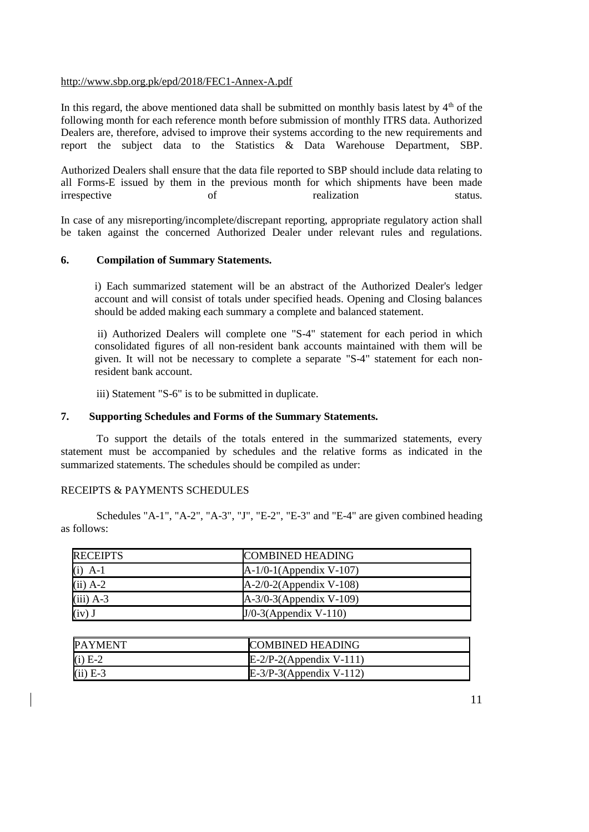### <http://www.sbp.org.pk/epd/2018/FEC1-Annex-A.pdf>

In this regard, the above mentioned data shall be submitted on monthly basis latest by  $4<sup>th</sup>$  of the following month for each reference month before submission of monthly ITRS data. Authorized Dealers are, therefore, advised to improve their systems according to the new requirements and report the subject data to the Statistics & Data Warehouse Department, SBP.

Authorized Dealers shall ensure that the data file reported to SBP should include data relating to all Forms-E issued by them in the previous month for which shipments have been made irrespective of talization status. irrespective of realization status.

In case of any misreporting/incomplete/discrepant reporting, appropriate regulatory action shall be taken against the concerned Authorized Dealer under relevant rules and regulations.

### **6. Compilation of Summary Statements.**

i) Each summarized statement will be an abstract of the Authorized Dealer's ledger account and will consist of totals under specified heads. Opening and Closing balances should be added making each summary a complete and balanced statement.

ii) Authorized Dealers will complete one ["S-4" statement](../../AppData/Local/Microsoft/Windows/Temporary%20Internet%20Files/appendix%20files/appendix%205/ap5-102.htm) for each period in which consolidated figures of all non-resident bank accounts maintained with them will be given. It will not be necessary to complete a separate ["S-4" statement](../../AppData/Local/Microsoft/Windows/Temporary%20Internet%20Files/appendix%20files/appendix%205/ap5-102.htm) for each nonresident bank account.

iii) [Statement "S-6"](../../AppData/Local/Microsoft/Windows/Temporary%20Internet%20Files/appendix%20files/appendix%205/ap5-104.htm) is to be submitted in duplicate.

#### **7. Supporting Schedules and Forms of the Summary Statements.**

To support the details of the totals entered in the summarized statements, every statement must be accompanied by schedules and the relative forms as indicated in the summarized statements. The schedules should be compiled as under:

#### RECEIPTS & PAYMENTS SCHEDULES

Schedules ["A-1"](../../AppData/Local/Microsoft/Windows/Temporary%20Internet%20Files/appendix%20files/appendix%205/ap5-105.htm), ["A-2"](../../AppData/Local/Microsoft/Windows/Temporary%20Internet%20Files/appendix%20files/appendix%205/ap5-106.htm), ["A-3"](../../AppData/Local/Microsoft/Windows/Temporary%20Internet%20Files/appendix%20files/appendix%205/ap5-107.htm), ["J"](../../AppData/Local/Microsoft/Windows/Temporary%20Internet%20Files/appendix%20files/appendix%205/ap5-108.htm), ["E-2"](../../AppData/Local/Microsoft/Windows/Temporary%20Internet%20Files/appendix%20files/appendix%205/ap5-109.htm), ["E-3"](../../AppData/Local/Microsoft/Windows/Temporary%20Internet%20Files/appendix%20files/appendix%205/ap5-110.htm) and ["E-4"](../../AppData/Local/Microsoft/Windows/Temporary%20Internet%20Files/appendix%20files/appendix%205/ap5-111.htm) are given combined heading as follows:

| <b>RECEIPTS</b> | <b>COMBINED HEADING</b>    |
|-----------------|----------------------------|
| $(i)$ A-1       | $A-1/0-1$ (Appendix V-107) |
| $(ii)$ A-2      | $A-2/0-2$ (Appendix V-108) |
| $(iii)$ A-3     | $A-3/0-3$ (Appendix V-109) |
| $(iv)$ J        | $J/O-3$ (Appendix V-110)   |

| <b>PAYMENT</b> | <b>COMBINED HEADING</b>    |
|----------------|----------------------------|
| $(i)$ E-2      | $E-2/P-2$ (Appendix V-111) |
| $(ii)$ E-3     | $E-3/P-3$ (Appendix V-112) |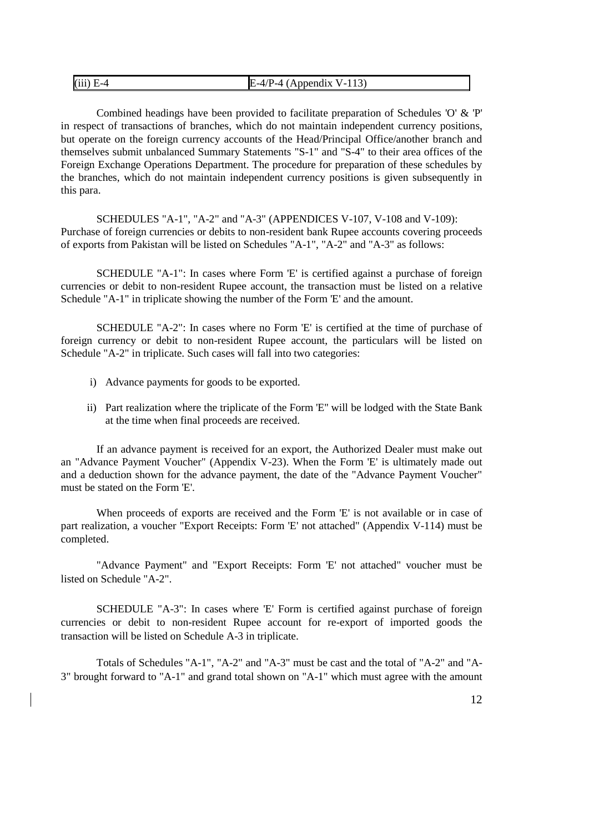| $(iii)$ E-4 | $P-4$ (Appendix V-113)<br>E<br>$-4/P$ . |
|-------------|-----------------------------------------|
|-------------|-----------------------------------------|

Combined headings have been provided to facilitate preparation of Schedules ['O'](../../AppData/Local/Microsoft/Windows/Temporary%20Internet%20Files/appendix%20files/appendix%205/ap5-125.htm) & ['P'](../../AppData/Local/Microsoft/Windows/Temporary%20Internet%20Files/appendix%20files/appendix%205/ap5-126.htm) in respect of transactions of branches, which do not maintain independent currency positions, but operate on the foreign currency accounts of the Head/Principal Office/another branch and themselves submit unbalanced Summary Statements ["S-1"](../../AppData/Local/Microsoft/Windows/Temporary%20Internet%20Files/appendix%20files/appendix%205/ap5-101.htm) and ["S-4"](../../AppData/Local/Microsoft/Windows/Temporary%20Internet%20Files/appendix%20files/appendix%205/ap5-102.htm) to their area offices of the Foreign Exchange Operations Department. The procedure for preparation of these schedules by the branches, which do not maintain independent currency positions is given subsequently in this para.

SCHEDULES ["A-1",](../../AppData/Local/Microsoft/Windows/Temporary%20Internet%20Files/appendix%20files/appendix%205/ap5-105.htm) ["A-2"](../../AppData/Local/Microsoft/Windows/Temporary%20Internet%20Files/appendix%20files/appendix%205/ap5-106.htm) and ["A-3"](../../AppData/Local/Microsoft/Windows/Temporary%20Internet%20Files/appendix%20files/appendix%205/ap5-107.htm) (APPENDICE[S V-1](../../AppData/Local/Microsoft/Windows/Temporary%20Internet%20Files/appendix%20files/appendix%205/ap5-105.htm)07, [V-1](../../AppData/Local/Microsoft/Windows/Temporary%20Internet%20Files/appendix%20files/appendix%205/ap5-106.htm)08 and [V-1](../../AppData/Local/Microsoft/Windows/Temporary%20Internet%20Files/appendix%20files/appendix%205/ap5-107.htm)09): Purchase of foreign currencies or debits to non-resident bank Rupee accounts covering proceeds of exports from Pakistan will be listed on Schedules ["A-1",](../../AppData/Local/Microsoft/Windows/Temporary%20Internet%20Files/appendix%20files/appendix%205/ap5-105.htm) ["A-2"](../../AppData/Local/Microsoft/Windows/Temporary%20Internet%20Files/appendix%20files/appendix%205/ap5-106.htm) and ["A-3"](../../AppData/Local/Microsoft/Windows/Temporary%20Internet%20Files/appendix%20files/appendix%205/ap5-107.htm) as follows:

SCHEDULE ["A-1":](../../AppData/Local/Microsoft/Windows/Temporary%20Internet%20Files/appendix%20files/appendix%205/ap5-105.htm) In cases where [Form 'E'](../../AppData/Local/Microsoft/Windows/Temporary%20Internet%20Files/appendix%20files/appendix%205/ap5-13.htm) is certified against a purchase of foreign currencies or debit to non-resident Rupee account, the transaction must be listed on a relative Schedul[e "A-1"](../../AppData/Local/Microsoft/Windows/Temporary%20Internet%20Files/appendix%20files/appendix%205/ap5-105.htm) in triplicate showing the number of the [Form 'E'](../../AppData/Local/Microsoft/Windows/Temporary%20Internet%20Files/appendix%20files/appendix%205/ap5-13.htm) and the amount.

SCHEDULE ["A-2":](../../AppData/Local/Microsoft/Windows/Temporary%20Internet%20Files/appendix%20files/appendix%205/ap5-106.htm) In cases where no [Form 'E'](../../AppData/Local/Microsoft/Windows/Temporary%20Internet%20Files/appendix%20files/appendix%205/ap5-13.htm) is certified at the time of purchase of foreign currency or debit to non-resident Rupee account, the particulars will be listed on Schedul[e "A-2"](../../AppData/Local/Microsoft/Windows/Temporary%20Internet%20Files/appendix%20files/appendix%205/ap5-106.htm) in triplicate. Such cases will fall into two categories:

- i) Advance payments for goods to be exported.
- ii) Part realization where the triplicate of the [Form 'E''](../../AppData/Local/Microsoft/Windows/Temporary%20Internet%20Files/appendix%20files/appendix%205/ap5-13.htm) will be lodged with the State Bank at the time when final proceeds are received.

If an advance payment is received for an export, the Authorized Dealer must make out an "Advance Payment Voucher" [\(Appendix V-2](../../AppData/Local/Microsoft/Windows/Temporary%20Internet%20Files/appendix%20files/appendix%205/ap5-18.htm)3). When the [Form 'E'](../../AppData/Local/Microsoft/Windows/Temporary%20Internet%20Files/appendix%20files/appendix%205/ap5-13.htm) is ultimately made out and a deduction shown for the advance payment, the date of the "Advance Payment Voucher" must be stated on the [Form 'E'.](../../AppData/Local/Microsoft/Windows/Temporary%20Internet%20Files/appendix%20files/appendix%205/ap5-13.htm)

When proceeds of exports are received and the [Form 'E'](../../AppData/Local/Microsoft/Windows/Temporary%20Internet%20Files/appendix%20files/appendix%205/ap5-13.htm) is not available or in case of part realization, a voucher "Export Receipts: [Form 'E'](../../AppData/Local/Microsoft/Windows/Temporary%20Internet%20Files/appendix%20files/appendix%205/ap5-13.htm) not attached" [\(Appendix V-1](../../AppData/Local/Microsoft/Windows/Temporary%20Internet%20Files/appendix%20files/appendix%205/ap5-112.htm)14) must be completed.

"Advance Payment" and "Export Receipts: [Form 'E'](../../AppData/Local/Microsoft/Windows/Temporary%20Internet%20Files/appendix%20files/appendix%205/ap5-13.htm) not attached" voucher must be listed on Schedule ["A-2".](../../AppData/Local/Microsoft/Windows/Temporary%20Internet%20Files/appendix%20files/appendix%205/ap5-106.htm)

SCHEDULE ["A-3":](../../AppData/Local/Microsoft/Windows/Temporary%20Internet%20Files/appendix%20files/appendix%205/ap5-107.htm) In cases where ['E' Form](../../AppData/Local/Microsoft/Windows/Temporary%20Internet%20Files/appendix%20files/appendix%205/ap5-13.htm) is certified against purchase of foreign currencies or debit to non-resident Rupee account for re-export of imported goods the transaction will be listed on Schedule [A-3](../../AppData/Local/Microsoft/Windows/Temporary%20Internet%20Files/appendix%20files/appendix%205/ap5-107.htm) in triplicate.

Totals of Schedules ["A-1",](../../AppData/Local/Microsoft/Windows/Temporary%20Internet%20Files/appendix%20files/appendix%205/ap5-105.htm) ["A-2"](../../AppData/Local/Microsoft/Windows/Temporary%20Internet%20Files/appendix%20files/appendix%205/ap5-106.htm) and ["A-3"](../../AppData/Local/Microsoft/Windows/Temporary%20Internet%20Files/appendix%20files/appendix%205/ap5-107.htm) must be cast and the total of ["A-2"](../../AppData/Local/Microsoft/Windows/Temporary%20Internet%20Files/appendix%20files/appendix%205/ap5-106.htm) and ["A-](../../AppData/Local/Microsoft/Windows/Temporary%20Internet%20Files/appendix%20files/appendix%205/ap5-107.htm)[3"](../../AppData/Local/Microsoft/Windows/Temporary%20Internet%20Files/appendix%20files/appendix%205/ap5-107.htm) brought forward to ["A-1"](../../AppData/Local/Microsoft/Windows/Temporary%20Internet%20Files/appendix%20files/appendix%205/ap5-105.htm) and grand total shown on ["A-1"](../../AppData/Local/Microsoft/Windows/Temporary%20Internet%20Files/appendix%20files/appendix%205/ap5-105.htm) which must agree with the amount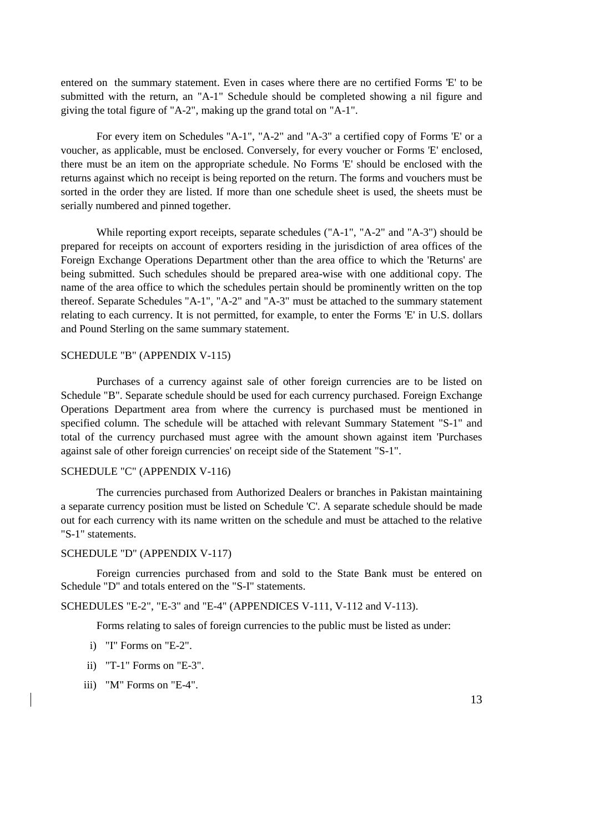entered on the summary statement. Even in cases where there are no certified [Forms 'E'](../../AppData/Local/Microsoft/Windows/Temporary%20Internet%20Files/appendix%20files/appendix%205/ap5-13.htm) to be submitted with the return, an ["A-1"](../../AppData/Local/Microsoft/Windows/Temporary%20Internet%20Files/appendix%20files/appendix%205/ap5-105.htm) Schedule should be completed showing a nil figure and giving the total figure of ["A-2",](../../AppData/Local/Microsoft/Windows/Temporary%20Internet%20Files/appendix%20files/appendix%205/ap5-106.htm) making up the grand total on ["A-1".](../../AppData/Local/Microsoft/Windows/Temporary%20Internet%20Files/appendix%20files/appendix%205/ap5-105.htm)

For every item on Schedules ["A-1",](../../AppData/Local/Microsoft/Windows/Temporary%20Internet%20Files/appendix%20files/appendix%205/ap5-105.htm) ["A-2"](../../AppData/Local/Microsoft/Windows/Temporary%20Internet%20Files/appendix%20files/appendix%205/ap5-106.htm) and ["A-3"](../../AppData/Local/Microsoft/Windows/Temporary%20Internet%20Files/appendix%20files/appendix%205/ap5-107.htm) a certified copy of [Forms 'E'](../../AppData/Local/Microsoft/Windows/Temporary%20Internet%20Files/appendix%20files/appendix%205/ap5-13.htm) or a voucher, as applicable, must be enclosed. Conversely, for every voucher or [Forms 'E'](../../AppData/Local/Microsoft/Windows/Temporary%20Internet%20Files/appendix%20files/appendix%205/ap5-13.htm) enclosed, there must be an item on the appropriate schedule. No [Forms 'E'](../../AppData/Local/Microsoft/Windows/Temporary%20Internet%20Files/appendix%20files/appendix%205/ap5-13.htm) should be enclosed with the returns against which no receipt is being reported on the return. The forms and vouchers must be sorted in the order they are listed. If more than one schedule sheet is used, the sheets must be serially numbered and pinned together.

While reporting export receipts, separate schedules [\("A-1",](../../AppData/Local/Microsoft/Windows/Temporary%20Internet%20Files/appendix%20files/appendix%205/ap5-105.htm) ["A-2"](../../AppData/Local/Microsoft/Windows/Temporary%20Internet%20Files/appendix%20files/appendix%205/ap5-106.htm) and ["A-3"\)](../../AppData/Local/Microsoft/Windows/Temporary%20Internet%20Files/appendix%20files/appendix%205/ap5-107.htm) should be prepared for receipts on account of exporters residing in the jurisdiction of area offices of the Foreign Exchange Operations Department other than the area office to which the 'Returns' are being submitted. Such schedules should be prepared area-wise with one additional copy. The name of the area office to which the schedules pertain should be prominently written on the top thereof. Separate Schedules ["A-1",](../../AppData/Local/Microsoft/Windows/Temporary%20Internet%20Files/appendix%20files/appendix%205/ap5-105.htm) ["A-2"](../../AppData/Local/Microsoft/Windows/Temporary%20Internet%20Files/appendix%20files/appendix%205/ap5-106.htm) and ["A-3"](../../AppData/Local/Microsoft/Windows/Temporary%20Internet%20Files/appendix%20files/appendix%205/ap5-107.htm) must be attached to the summary statement relating to each currency. It is not permitted, for example, to enter the [Forms 'E'](../../AppData/Local/Microsoft/Windows/Temporary%20Internet%20Files/appendix%20files/appendix%205/ap5-13.htm) in U.S. dollars and Pound Sterling on the same summary statement.

### SCHEDULE "B" [\(APPENDIX V-1](../../AppData/Local/Microsoft/Windows/Temporary%20Internet%20Files/appendix%20files/appendix%205/ap5-113.htm)15)

Purchases of a currency against sale of other foreign currencies are to be listed on Schedule "B". Separate schedule should be used for each currency purchased. Foreign Exchange Operations Department area from where the currency is purchased must be mentioned in specified column. The schedule will be attached with relevant Summary Statement ["S-1"](../../AppData/Local/Microsoft/Windows/Temporary%20Internet%20Files/appendix%20files/appendix%205/ap5-101.htm) and total of the currency purchased must agree with the amount shown against item 'Purchases against sale of other foreign currencies' on receipt side of the Statement ["S-1".](../../AppData/Local/Microsoft/Windows/Temporary%20Internet%20Files/appendix%20files/appendix%205/ap5-101.htm)

### SCHEDULE "C" [\(APPENDIX V-1](../../AppData/Local/Microsoft/Windows/Temporary%20Internet%20Files/appendix%20files/appendix%205/ap5-114.htm)16)

The currencies purchased from Authorized Dealers or branches in Pakistan maintaining a separate currency position must be listed on [Schedule 'C'.](../../AppData/Local/Microsoft/Windows/Temporary%20Internet%20Files/appendix%20files/appendix%205/ap5-114.htm) A separate schedule should be made out for each currency with its name written on the schedule and must be attached to the relative ["S-1" statements.](../../AppData/Local/Microsoft/Windows/Temporary%20Internet%20Files/appendix%20files/appendix%205/ap5-101.htm)

#### SCHEDULE "D" [\(APPENDIX V-1](../../AppData/Local/Microsoft/Windows/Temporary%20Internet%20Files/appendix%20files/appendix%205/ap5-115.htm)17)

Foreign currencies purchased from and sold to the State Bank must be entered on Schedul[e "D"](../../AppData/Local/Microsoft/Windows/Temporary%20Internet%20Files/appendix%20files/appendix%205/ap5-115.htm) and totals entered on the ["S-I" statements.](../../AppData/Local/Microsoft/Windows/Temporary%20Internet%20Files/appendix%20files/appendix%205/ap5-101.htm)

SCHEDULES ["E-2",](../../AppData/Local/Microsoft/Windows/Temporary%20Internet%20Files/appendix%20files/appendix%205/ap5-109.htm) ["E-3"](../../AppData/Local/Microsoft/Windows/Temporary%20Internet%20Files/appendix%20files/appendix%205/ap5-110.htm) and ["E-4"](../../AppData/Local/Microsoft/Windows/Temporary%20Internet%20Files/appendix%20files/appendix%205/ap5-111.htm) (APPENDICES [V-1](../../AppData/Local/Microsoft/Windows/Temporary%20Internet%20Files/appendix%20files/appendix%205/ap5-109.htm)11[, V-1](../../AppData/Local/Microsoft/Windows/Temporary%20Internet%20Files/appendix%20files/appendix%205/ap5-110.htm)12 and [V-1](../../AppData/Local/Microsoft/Windows/Temporary%20Internet%20Files/appendix%20files/appendix%205/ap5-111.htm)13).

Forms relating to sales of foreign currencies to the public must be listed as under:

- i) ["I"](../../AppData/Local/Microsoft/Windows/Updated%20FE%20Manual/appendix%20files/appendix%205/ap5-32.htm) Forms on ["E-2".](../../AppData/Local/Microsoft/Windows/Temporary%20Internet%20Files/appendix%20files/appendix%205/ap5-109.htm)
- ii) ["T-1"](../../AppData/Local/Microsoft/Windows/Temporary%20Internet%20Files/Content.Outlook/..appendix%20files/appendix%205/ap5-73.htm) Forms o[n "E-3".](../../AppData/Local/Microsoft/Windows/Temporary%20Internet%20Files/appendix%20files/appendix%205/ap5-110.htm)
- iii) ["M"](../../AppData/Local/Microsoft/Windows/Temporary%20Internet%20Files/appendix%20files/appendix%205/ap5-10.htm) Forms o[n "E-4".](../../AppData/Local/Microsoft/Windows/Temporary%20Internet%20Files/appendix%20files/appendix%205/ap5-111.htm)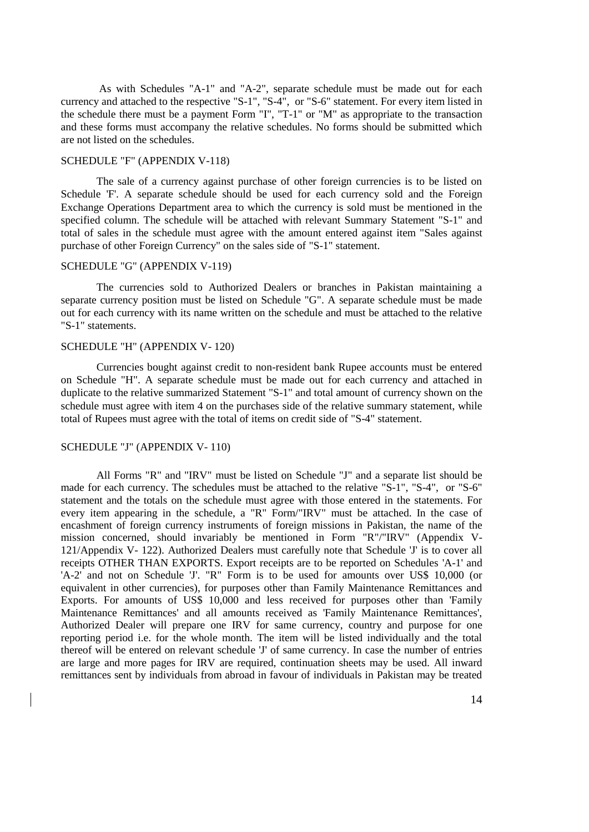As with Schedules ["A-1"](../../AppData/Local/Microsoft/Windows/Temporary%20Internet%20Files/appendix%20files/appendix%205/ap5-105.htm) and ["A-2",](../../AppData/Local/Microsoft/Windows/Temporary%20Internet%20Files/appendix%20files/appendix%205/ap5-106.htm) separate schedule must be made out for each currency and attached to the respective ["S-1",](../../AppData/Local/Microsoft/Windows/Temporary%20Internet%20Files/appendix%20files/appendix%205/ap5-101.htm) ["S-4",](../../AppData/Local/Microsoft/Windows/Temporary%20Internet%20Files/appendix%20files/appendix%205/ap5-102.htm) or ["S-6"](../../AppData/Local/Microsoft/Windows/Temporary%20Internet%20Files/appendix%20files/appendix%205/ap5-104.htm) statement. For every item listed in the schedule there must be a payment Form ["I",](../../AppData/Local/Microsoft/Windows/Updated%20FE%20Manual/appendix%20files/appendix%205/ap5-32.htm) ["T-1"](../../AppData/Local/Microsoft/Windows/Temporary%20Internet%20Files/appendix%20files/appendix%205/ap5-73.htm) or ["M"](../../AppData/Local/Microsoft/Windows/Temporary%20Internet%20Files/appendix%20files/appendix%205/ap5-10.htm) as appropriate to the transaction and these forms must accompany the relative schedules. No forms should be submitted which are not listed on the schedules.

### SCHEDULE "F" [\(APPENDIX V-1](../../AppData/Local/Microsoft/Windows/Temporary%20Internet%20Files/appendix%20files/appendix%205/ap5-116.htm)18)

The sale of a currency against purchase of other foreign currencies is to be listed on [Schedule 'F'.](../../AppData/Local/Microsoft/Windows/Temporary%20Internet%20Files/appendix%20files/appendix%205/ap5-116.htm) A separate schedule should be used for each currency sold and the Foreign Exchange Operations Department area to which the currency is sold must be mentioned in the specified column. The schedule will be attached with relevant Summary [Statement "S-1"](../../AppData/Local/Microsoft/Windows/Temporary%20Internet%20Files/appendix%20files/appendix%205/ap5-101.htm) and total of sales in the schedule must agree with the amount entered against item "Sales against purchase of other Foreign Currency" on the sales side of ["S-1" statement.](../../AppData/Local/Microsoft/Windows/Temporary%20Internet%20Files/appendix%20files/appendix%205/ap5-101.htm)

#### SCHEDULE "G" [\(APPENDIX V-1](../../AppData/Local/Microsoft/Windows/Temporary%20Internet%20Files/appendix%20files/appendix%205/ap5-117.htm)19)

The currencies sold to Authorized Dealers or branches in Pakistan maintaining a separate currency position must be listed on [Schedule "G".](../../AppData/Local/Microsoft/Windows/Temporary%20Internet%20Files/appendix%20files/appendix%205/ap5-117.htm) A separate schedule must be made out for each currency with its name written on the schedule and must be attached to the relative ["S-1" statements.](../../AppData/Local/Microsoft/Windows/Temporary%20Internet%20Files/appendix%20files/appendix%205/ap5-101.htm)

### SCHEDULE "H" [\(APPENDIX V-](../../AppData/Local/Microsoft/Windows/Temporary%20Internet%20Files/appendix%20files/appendix%205/ap5-118.htm) 120)

Currencies bought against credit to non-resident bank Rupee accounts must be entered on [Schedule "H".](../../AppData/Local/Microsoft/Windows/Temporary%20Internet%20Files/appendix%20files/appendix%205/ap5-118.htm) A separate schedule must be made out for each currency and attached in duplicate to the relative summarized [Statement "S-1"](../../AppData/Local/Microsoft/Windows/Temporary%20Internet%20Files/appendix%20files/appendix%205/ap5-101.htm) and total amount of currency shown on the schedule must agree with item 4 on the purchases side of the relative summary statement, while total of Rupees must agree with the total of items on credit side of ["S-4" statement.](../../AppData/Local/Microsoft/Windows/Temporary%20Internet%20Files/appendix%20files/appendix%205/ap5-102.htm)

#### SCHEDULE "J" [\(APPENDIX V-](../../AppData/Local/Microsoft/Windows/Temporary%20Internet%20Files/appendix%20files/appendix%205/ap5-108.htm) 110)

All Forms ["R"](../../AppData/Local/Microsoft/Windows/Temporary%20Internet%20Files/appendix%20files/appendix%205/ap5-119.htm) and ["IRV"](../../AppData/Local/Microsoft/Windows/Temporary%20Internet%20Files/appendix%20files/appendix%205/ap5-120.htm) must be listed on [Schedule "J"](../../AppData/Local/Microsoft/Windows/Temporary%20Internet%20Files/appendix%20files/appendix%205/ap5-108.htm) and a separate list should be made for each currency. The schedules must be attached to the relative ["S-1",](../../AppData/Local/Microsoft/Windows/Temporary%20Internet%20Files/appendix%20files/appendix%205/ap5-101.htm) ["S-4",](../../AppData/Local/Microsoft/Windows/Temporary%20Internet%20Files/appendix%20files/appendix%205/ap5-102.htm) or ["S-6"](../../AppData/Local/Microsoft/Windows/Temporary%20Internet%20Files/appendix%20files/appendix%205/ap5-104.htm) statement and the totals on the schedule must agree with those entered in the statements. For every item appearing in the schedule, a ["R"](../../AppData/Local/Microsoft/Windows/Temporary%20Internet%20Files/appendix%20files/appendix%205/ap5-119.htm) Form[/"IRV"](../../AppData/Local/Microsoft/Windows/Temporary%20Internet%20Files/appendix%20files/appendix%205/ap5-120.htm) must be attached. In the case of encashment of foreign currency instruments of foreign missions in Pakistan, the name of the mission concerned, should invariably be mentioned in Form ["R"](../../AppData/Local/Microsoft/Windows/Temporary%20Internet%20Files/appendix%20files/appendix%205/ap5-119.htm)[/"IRV"](../../AppData/Local/Microsoft/Windows/Temporary%20Internet%20Files/appendix%20files/appendix%205/ap5-120.htm) [\(Appendix V-](../../AppData/Local/Microsoft/Windows/Temporary%20Internet%20Files/appendix%20files/appendix%205/ap5-119.htm)121[/Appendix V-](../../AppData/Local/Microsoft/Windows/Temporary%20Internet%20Files/appendix%20files/appendix%205/ap5-120.htm) 122). Authorized Dealers must carefully note that [Schedule 'J'](../../AppData/Local/Microsoft/Windows/Temporary%20Internet%20Files/appendix%20files/appendix%205/ap5-108.htm) is to cover all receipts OTHER THAN EXPORTS. Export receipts are to be reported on Schedules ['A-1'](../../AppData/Local/Microsoft/Windows/Temporary%20Internet%20Files/appendix%20files/appendix%205/ap5-105.htm) and ['A-2'](../../AppData/Local/Microsoft/Windows/Temporary%20Internet%20Files/appendix%20files/appendix%205/ap5-106.htm) and not on [Schedule 'J'.](../../AppData/Local/Microsoft/Windows/Temporary%20Internet%20Files/appendix%20files/appendix%205/ap5-108.htm) ["R"](../../AppData/Local/Microsoft/Windows/Temporary%20Internet%20Files/appendix%20files/appendix%205/ap5-119.htm) Form is to be used for amounts over US\$ 10,000 (or equivalent in other currencies), for purposes other than Family Maintenance Remittances and Exports. For amounts of US\$ 10,000 and less received for purposes other than 'Family Maintenance Remittances' and all amounts received as 'Family Maintenance Remittances', Authorized Dealer will prepare one [IRV](../../AppData/Local/Microsoft/Windows/Temporary%20Internet%20Files/appendix%20files/appendix%205/ap5-120.htm) for same currency, country and purpose for one reporting period i.e. for the whole month. The item will be listed individually and the total thereof will be entered on relevant [schedule 'J'](../../AppData/Local/Microsoft/Windows/Temporary%20Internet%20Files/appendix%20files/appendix%205/ap5-108.htm) of same currency. In case the number of entries are large and more pages for [IRV](../../AppData/Local/Microsoft/Windows/Temporary%20Internet%20Files/appendix%20files/appendix%205/ap5-120.htm) are required, continuation sheets may be used. All inward remittances sent by individuals from abroad in favour of individuals in Pakistan may be treated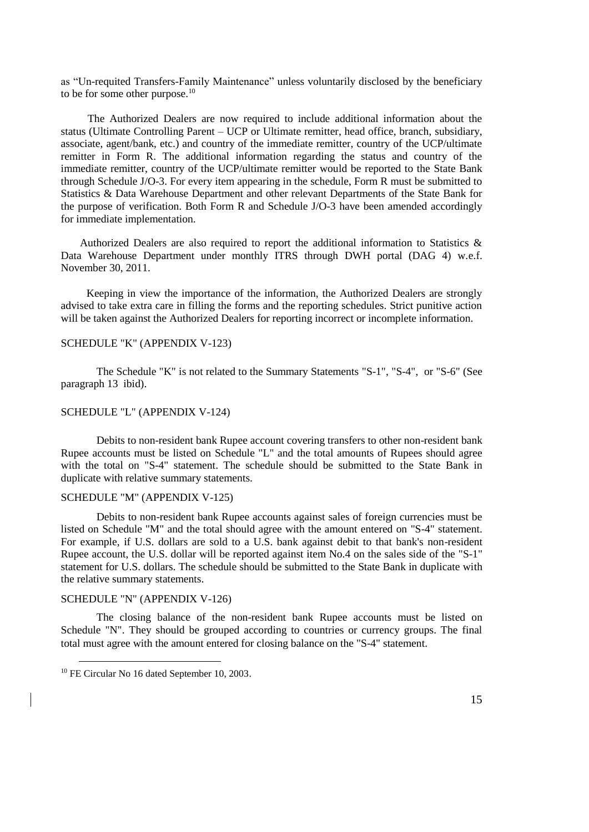as "Un-requited Transfers-Family Maintenance" unless voluntarily disclosed by the beneficiary to be for some other purpose.<sup>10</sup>

 The Authorized Dealers are now required to include additional information about the status (Ultimate Controlling Parent – UCP or Ultimate remitter, head office, branch, subsidiary, associate, agent/bank, etc.) and country of the immediate remitter, country of the UCP/ultimate remitter in Form R. The additional information regarding the status and country of the immediate remitter, country of the UCP/ultimate remitter would be reported to the State Bank through Schedule J/O-3. For every item appearing in the schedule, Form R must be submitted to Statistics & Data Warehouse Department and other relevant Departments of the State Bank for the purpose of verification. Both Form R and Schedule J/O-3 have been amended accordingly for immediate implementation.

 Authorized Dealers are also required to report the additional information to Statistics & Data Warehouse Department under monthly ITRS through DWH portal (DAG 4) w.e.f. November 30, 2011.

 Keeping in view the importance of the information, the Authorized Dealers are strongly advised to take extra care in filling the forms and the reporting schedules. Strict punitive action will be taken against the Authorized Dealers for reporting incorrect or incomplete information.

### SCHEDULE "K" [\(APPENDIX V-1](../../AppData/Local/Microsoft/Windows/Temporary%20Internet%20Files/appendix%20files/appendix%205/ap5-121.htm)23)

The [Schedule "K"](../../AppData/Local/Microsoft/Windows/Temporary%20Internet%20Files/appendix%20files/appendix%205/ap5-121.htm) is not related to the Summary Statements ["S-1",](../../AppData/Local/Microsoft/Windows/Temporary%20Internet%20Files/appendix%20files/appendix%205/ap5-101.htm) ["S-4",](../../AppData/Local/Microsoft/Windows/Temporary%20Internet%20Files/appendix%20files/appendix%205/ap5-102.htm) or ["S-6"](../../AppData/Local/Microsoft/Windows/Temporary%20Internet%20Files/appendix%20files/appendix%205/ap5-104.htm) (See [paragraph 13](../../AppData/Local/Microsoft/Windows/Temporary%20Internet%20Files/Content.Outlook/chapter22.htm#Bullet13) ibid).

#### SCHEDULE "L" [\(APPENDIX V-1](../../AppData/Local/Microsoft/Windows/Temporary%20Internet%20Files/appendix%20files/appendix%205/ap5-122.htm)24)

Debits to non-resident bank Rupee account covering transfers to other non-resident bank Rupee accounts must be listed on [Schedule "L"](../../AppData/Local/Microsoft/Windows/Temporary%20Internet%20Files/appendix%20files/appendix%205/ap5-122.htm) and the total amounts of Rupees should agree with the total on ["S-4" statement.](../../AppData/Local/Microsoft/Windows/Temporary%20Internet%20Files/appendix%20files/appendix%205/ap5-102.htm) The schedule should be submitted to the State Bank in duplicate with relative summary statements.

#### SCHEDULE "M" [\(APPENDIX V-1](../../AppData/Local/Microsoft/Windows/Temporary%20Internet%20Files/appendix%20files/appendix%205/ap5-123.htm)25)

Debits to non-resident bank Rupee accounts against sales of foreign currencies must be listed on [Schedule "M"](../../AppData/Local/Microsoft/Windows/Temporary%20Internet%20Files/appendix%20files/appendix%205/ap5-123.htm) and the total should agree with the amount entered on ["S-4" statement.](../../AppData/Local/Microsoft/Windows/Temporary%20Internet%20Files/appendix%20files/appendix%205/ap5-102.htm) For example, if U.S. dollars are sold to a U.S. bank against debit to that bank's non-resident Rupee account, the U.S. dollar will be reported against item No.4 on the sales side of the ["S-1"](../../AppData/Local/Microsoft/Windows/Temporary%20Internet%20Files/appendix%20files/appendix%205/ap5-101.htm) statement for U.S. dollars. The schedule should be submitted to the State Bank in duplicate with the relative summary statements.

#### SCHEDULE "N" [\(APPENDIX V-1](../../AppData/Local/Microsoft/Windows/Temporary%20Internet%20Files/appendix%20files/appendix%205/ap5-124.htm)26)

The closing balance of the non-resident bank Rupee accounts must be listed on [Schedule "N".](../../AppData/Local/Microsoft/Windows/Temporary%20Internet%20Files/appendix%20files/appendix%205/ap5-124.htm) They should be grouped according to countries or currency groups. The final total must agree with the amount entered for closing balance on the ["S-4" statement.](../../AppData/Local/Microsoft/Windows/Temporary%20Internet%20Files/appendix%20files/appendix%205/ap5-102.htm)

<sup>10</sup> FE Circular No 16 dated September 10, 2003.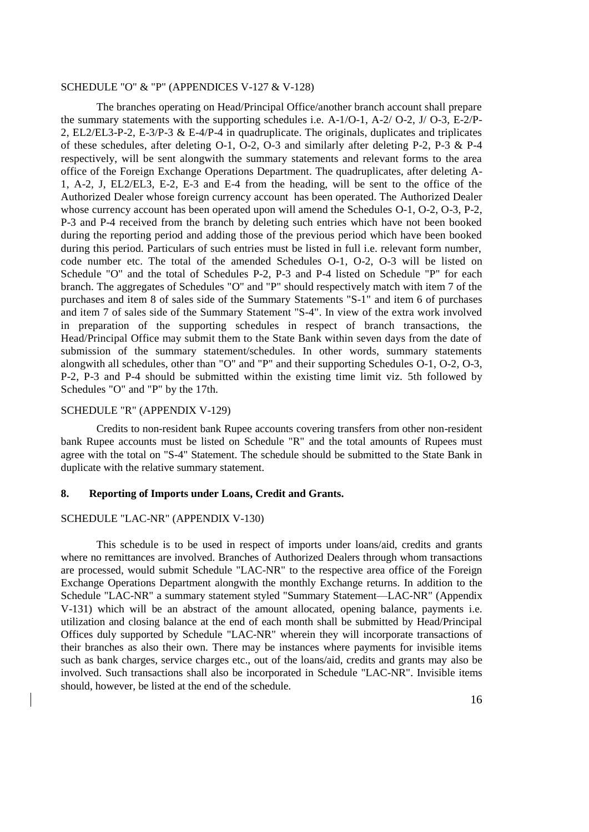### SCHEDULE ["O"](../../AppData/Local/Microsoft/Windows/Temporary%20Internet%20Files/appendix%20files/appendix%205/ap5-125.htm) [& "P"](../../AppData/Local/Microsoft/Windows/Temporary%20Internet%20Files/appendix%20files/appendix%205/ap5-126.htm) (APPENDICES [V-1](../../AppData/Local/Microsoft/Windows/Temporary%20Internet%20Files/appendix%20files/appendix%205/ap5-125.htm)27 [& V-1](../../AppData/Local/Microsoft/Windows/Temporary%20Internet%20Files/appendix%20files/appendix%205/ap5-126.htm)28)

The branches operating on Head/Principal Office/another branch account shall prepare the summary statements with the supporting schedules i.e. [A-1/O-1,](../../AppData/Local/Microsoft/Windows/Temporary%20Internet%20Files/appendix%20files/appendix%205/ap5-105.htm) [A-2/ O-2,](../../AppData/Local/Microsoft/Windows/Temporary%20Internet%20Files/appendix%20files/appendix%205/ap5-106.htm) [J/ O-3,](../../AppData/Local/Microsoft/Windows/Temporary%20Internet%20Files/appendix%20files/appendix%205/ap5-108.htm) [E-2/P-](../../AppData/Local/Microsoft/Windows/Temporary%20Internet%20Files/appendix%20files/appendix%205/ap5-109.htm)[2,](../../AppData/Local/Microsoft/Windows/Temporary%20Internet%20Files/appendix%20files/appendix%205/ap5-109.htm) [EL2/EL3-P-2,](../../AppData/Local/Microsoft/Windows/Temporary%20Internet%20Files/appendix%20files/appendix%205/ap5-130.htm) [E-3/P-3](../../AppData/Local/Microsoft/Windows/Temporary%20Internet%20Files/appendix%20files/appendix%205/ap5-110.htm) & [E-4/P-4](../../AppData/Local/Microsoft/Windows/Temporary%20Internet%20Files/appendix%20files/appendix%205/ap5-111.htm) in quadruplicate. The originals, duplicates and triplicates of these schedules, after deleting [O-1,](../../AppData/Local/Microsoft/Windows/Temporary%20Internet%20Files/appendix%20files/appendix%205/ap5-105.htm) [O-2,](../../AppData/Local/Microsoft/Windows/Temporary%20Internet%20Files/appendix%20files/appendix%205/ap5-106.htm) [O-3](../../AppData/Local/Microsoft/Windows/Temporary%20Internet%20Files/appendix%20files/appendix%205/ap5-108.htm) and similarly after deleting [P-2,](../../AppData/Local/Microsoft/Windows/Temporary%20Internet%20Files/appendix%20files/appendix%205/ap5-109.htm) [P-3](../../AppData/Local/Microsoft/Windows/Temporary%20Internet%20Files/appendix%20files/appendix%205/ap5-110.htm) & [P-4](../../AppData/Local/Microsoft/Windows/Temporary%20Internet%20Files/appendix%20files/appendix%205/ap5-111.htm) respectively, will be sent alongwith the summary statements and relevant forms to the area office of the Foreign Exchange Operations Department. The quadruplicates, after deleting [A-](../../AppData/Local/Microsoft/Windows/Temporary%20Internet%20Files/appendix%20files/appendix%205/ap5-105.htm)[1,](../../AppData/Local/Microsoft/Windows/Temporary%20Internet%20Files/appendix%20files/appendix%205/ap5-105.htm) [A-2,](../../AppData/Local/Microsoft/Windows/Temporary%20Internet%20Files/appendix%20files/appendix%205/ap5-106.htm) [J,](../../AppData/Local/Microsoft/Windows/Temporary%20Internet%20Files/appendix%20files/appendix%205/ap5-108.htm) [EL2/EL3,](../../AppData/Local/Microsoft/Windows/Temporary%20Internet%20Files/appendix%20files/appendix%205/ap5-130.htm) [E-2,](../../AppData/Local/Microsoft/Windows/Temporary%20Internet%20Files/appendix%20files/appendix%205/ap5-109.htm) [E-3](../../AppData/Local/Microsoft/Windows/Temporary%20Internet%20Files/appendix%20files/appendix%205/ap5-110.htm) and [E-4](../../AppData/Local/Microsoft/Windows/Temporary%20Internet%20Files/appendix%20files/appendix%205/ap5-111.htm) from the heading, will be sent to the office of the Authorized Dealer whose foreign currency account has been operated. The Authorized Dealer whose currency account has been operated upon will amend the Schedules [O-1,](../../AppData/Local/Microsoft/Windows/Temporary%20Internet%20Files/appendix%20files/appendix%205/ap5-105.htm) [O-2,](../../AppData/Local/Microsoft/Windows/Temporary%20Internet%20Files/appendix%20files/appendix%205/ap5-106.htm) [O-3,](../../AppData/Local/Microsoft/Windows/Temporary%20Internet%20Files/appendix%20files/appendix%205/ap5-108.htm) [P-2,](../../AppData/Local/Microsoft/Windows/Temporary%20Internet%20Files/appendix%20files/appendix%205/ap5-109.htm) [P-3](../../AppData/Local/Microsoft/Windows/Temporary%20Internet%20Files/appendix%20files/appendix%205/ap5-110.htm) and [P-4](../../AppData/Local/Microsoft/Windows/Temporary%20Internet%20Files/appendix%20files/appendix%205/ap5-111.htm) received from the branch by deleting such entries which have not been booked during the reporting period and adding those of the previous period which have been booked during this period. Particulars of such entries must be listed in full i.e. relevant form number, code number etc. The total of the amended Schedules [O-1,](../../AppData/Local/Microsoft/Windows/Temporary%20Internet%20Files/appendix%20files/appendix%205/ap5-105.htm) [O-2,](../../AppData/Local/Microsoft/Windows/Temporary%20Internet%20Files/appendix%20files/appendix%205/ap5-106.htm) [O-3](../../AppData/Local/Microsoft/Windows/Temporary%20Internet%20Files/appendix%20files/appendix%205/ap5-108.htm) will be listed on [Schedule "O"](../../AppData/Local/Microsoft/Windows/Temporary%20Internet%20Files/appendix%20files/appendix%205/ap5-125.htm) and the total of Schedules [P-2,](../../AppData/Local/Microsoft/Windows/Temporary%20Internet%20Files/appendix%20files/appendix%205/ap5-109.htm) [P-3](../../AppData/Local/Microsoft/Windows/Temporary%20Internet%20Files/appendix%20files/appendix%205/ap5-110.htm) and [P-4](../../AppData/Local/Microsoft/Windows/Temporary%20Internet%20Files/appendix%20files/appendix%205/ap5-111.htm) listed on [Schedule "P"](../../AppData/Local/Microsoft/Windows/Temporary%20Internet%20Files/appendix%20files/appendix%205/ap5-126.htm) for each branch. The aggregates of Schedules ["O"](../../AppData/Local/Microsoft/Windows/Temporary%20Internet%20Files/appendix%20files/appendix%205/ap5-125.htm) and ["P"](../../AppData/Local/Microsoft/Windows/Temporary%20Internet%20Files/appendix%20files/appendix%205/ap5-126.htm) should respectively match with item 7 of the purchases and item 8 of sales side of the Summary [Statements "S-1"](../../AppData/Local/Microsoft/Windows/Temporary%20Internet%20Files/appendix%20files/appendix%205/ap5-101.htm) and item 6 of purchases and item 7 of sales side of the Summary [Statement "S-4".](../../AppData/Local/Microsoft/Windows/Temporary%20Internet%20Files/appendix%20files/appendix%205/ap5-102.htm) In view of the extra work involved in preparation of the supporting schedules in respect of branch transactions, the Head/Principal Office may submit them to the State Bank within seven days from the date of submission of the summary statement/schedules. In other words, summary statements alongwith all schedules, other than ["O"](../../AppData/Local/Microsoft/Windows/Temporary%20Internet%20Files/appendix%20files/appendix%205/ap5-125.htm) and ["P"](../../AppData/Local/Microsoft/Windows/Temporary%20Internet%20Files/appendix%20files/appendix%205/ap5-126.htm) and their supporting Schedules [O-1,](../../AppData/Local/Microsoft/Windows/Temporary%20Internet%20Files/appendix%20files/appendix%205/ap5-105.htm) [O-2,](../../AppData/Local/Microsoft/Windows/Temporary%20Internet%20Files/appendix%20files/appendix%205/ap5-106.htm) [O-3,](../../AppData/Local/Microsoft/Windows/Temporary%20Internet%20Files/appendix%20files/appendix%205/ap5-108.htm) [P-2,](../../AppData/Local/Microsoft/Windows/Temporary%20Internet%20Files/appendix%20files/appendix%205/ap5-109.htm) [P-3](../../AppData/Local/Microsoft/Windows/Temporary%20Internet%20Files/appendix%20files/appendix%205/ap5-110.htm) and [P-4](../../AppData/Local/Microsoft/Windows/Temporary%20Internet%20Files/appendix%20files/appendix%205/ap5-111.htm) should be submitted within the existing time limit viz. 5th followed by Schedules ["O"](../../AppData/Local/Microsoft/Windows/Temporary%20Internet%20Files/appendix%20files/appendix%205/ap5-125.htm) and ["P"](../../AppData/Local/Microsoft/Windows/Temporary%20Internet%20Files/appendix%20files/appendix%205/ap5-126.htm) by the 17th.

#### SCHEDULE "R" [\(APPENDIX V-1](../../AppData/Local/Microsoft/Windows/Temporary%20Internet%20Files/appendix%20files/appendix%205/ap5-127.htm)29)

Credits to non-resident bank Rupee accounts covering transfers from other non-resident bank Rupee accounts must be listed on [Schedule "R"](../../AppData/Local/Microsoft/Windows/Temporary%20Internet%20Files/appendix%20files/appendix%205/ap5-127.htm) and the total amounts of Rupees must agree with the total on ["S-4" Statement.](../../AppData/Local/Microsoft/Windows/Temporary%20Internet%20Files/appendix%20files/appendix%205/ap5-102.htm) The schedule should be submitted to the State Bank in duplicate with the relative summary statement.

#### **8. Reporting of Imports under Loans, Credit and Grants.**

#### [SCHEDULE "LAC-NR"](../../AppData/Local/Microsoft/Windows/Temporary%20Internet%20Files/appendix%20files/appendix%205/ap5-128.htm) [\(APPENDIX V-1](../../AppData/Local/Microsoft/Windows/Temporary%20Internet%20Files/appendix%20files/appendix%205/ap5-128.htm)30)

This schedule is to be used in respect of imports under loans/aid, credits and grants where no remittances are involved. Branches of Authorized Dealers through whom transactions are processed, would submit Schedule ["LAC-NR"](../../AppData/Local/Microsoft/Windows/Temporary%20Internet%20Files/appendix%20files/appendix%205/ap5-128.htm) to the respective area office of the Foreign Exchange Operations Department alongwith the monthly Exchange returns. In addition to the Schedule ["LAC-NR"](../../AppData/Local/Microsoft/Windows/Temporary%20Internet%20Files/appendix%20files/appendix%205/ap5-128.htm) a summary statement styled ["Summary Statement—LAC-NR"](../../AppData/Local/Microsoft/Windows/Temporary%20Internet%20Files/appendix%20files/appendix%205/ap5-129.htm) [\(Appendix](../../AppData/Local/Microsoft/Windows/Temporary%20Internet%20Files/appendix%20files/appendix%205/ap5-129.htm)  [V-1](../../AppData/Local/Microsoft/Windows/Temporary%20Internet%20Files/appendix%20files/appendix%205/ap5-129.htm)31) which will be an abstract of the amount allocated, opening balance, payments i.e. utilization and closing balance at the end of each month shall be submitted by Head/Principal Offices duly supported by Schedule ["LAC-NR"](../../AppData/Local/Microsoft/Windows/Temporary%20Internet%20Files/appendix%20files/appendix%205/ap5-128.htm) wherein they will incorporate transactions of their branches as also their own. There may be instances where payments for invisible items such as bank charges, service charges etc., out of the loans/aid, credits and grants may also be involved. Such transactions shall also be incorporated in [Schedule "LAC-NR".](../../AppData/Local/Microsoft/Windows/Temporary%20Internet%20Files/appendix%20files/appendix%205/ap5-128.htm) Invisible items should, however, be listed at the end of the schedule.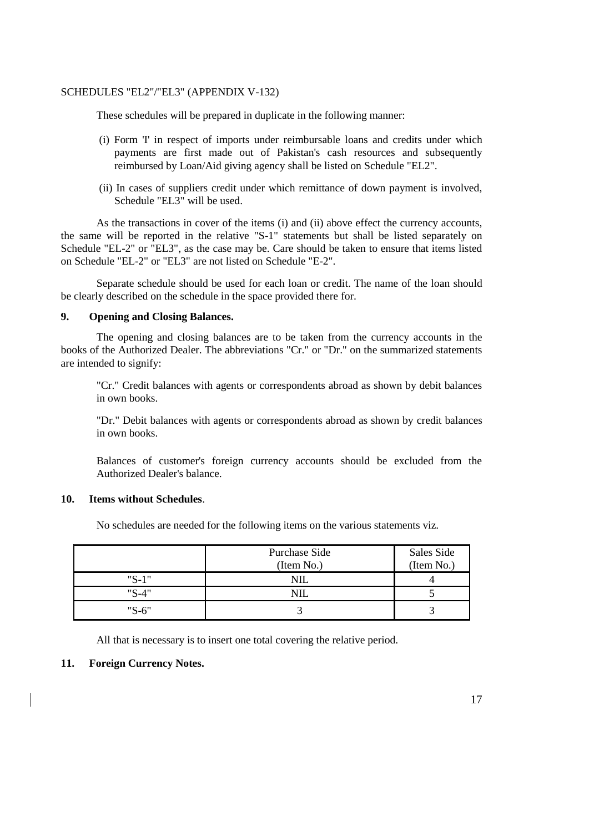### [SCHEDULES "EL2"/"EL3"](../../AppData/Local/Microsoft/Windows/Temporary%20Internet%20Files/appendix%20files/appendix%205/ap5-130.htm) [\(APPENDIX V-1](../../AppData/Local/Microsoft/Windows/Temporary%20Internet%20Files/appendix%20files/appendix%205/ap5-130.htm)32)

These schedules will be prepared in duplicate in the following manner:

- (i) [Form 'I'](../../AppData/Local/Microsoft/Windows/Updated%20FE%20Manual/appendix%20files/appendix%205/ap5-32.htm) in respect of imports under reimbursable loans and credits under which payments are first made out of Pakistan's cash resources and subsequently reimbursed by Loan/Aid giving agency shall be listed on [Schedule "EL2".](../../AppData/Local/Microsoft/Windows/Temporary%20Internet%20Files/appendix%20files/appendix%205/ap5-130.htm)
- (ii) In cases of suppliers credit under which remittance of down payment is involved, [Schedule "EL3"](../../AppData/Local/Microsoft/Windows/Temporary%20Internet%20Files/appendix%20files/appendix%205/ap5-130.htm) will be used.

As the transactions in cover of the items (i) and (ii) above effect the currency accounts, the same will be reported in the relative "S-1" statements but shall be listed separately on [Schedule "EL-2" or "EL3",](../../AppData/Local/Microsoft/Windows/Temporary%20Internet%20Files/appendix%20files/appendix%205/ap5-130.htm) as the case may be. Care should be taken to ensure that items listed on [Schedule "EL-2" or "EL3"](../../AppData/Local/Microsoft/Windows/Temporary%20Internet%20Files/appendix%20files/appendix%205/ap5-130.htm) are not listed on [Schedule "E-2".](../../AppData/Local/Microsoft/Windows/Temporary%20Internet%20Files/appendix%20files/appendix%205/ap5-109.htm)

Separate schedule should be used for each loan or credit. The name of the loan should be clearly described on the schedule in the space provided there for.

#### **9. Opening and Closing Balances.**

The opening and closing balances are to be taken from the currency accounts in the books of the Authorized Dealer. The abbreviations "Cr." or "Dr." on the summarized statements are intended to signify:

"Cr." Credit balances with agents or correspondents abroad as shown by debit balances in own books.

"Dr." Debit balances with agents or correspondents abroad as shown by credit balances in own books.

Balances of customer's foreign currency accounts should be excluded from the Authorized Dealer's balance.

#### **10. Items without Schedules**.

No schedules are needed for the following items on the various statements viz.

|         | Purchase Side<br>(Item No.) | Sales Side<br>(Item No.) |
|---------|-----------------------------|--------------------------|
| $"S-1"$ | NIL                         |                          |
| $"S-4"$ |                             |                          |
| $"S-6"$ |                             |                          |

All that is necessary is to insert one total covering the relative period.

#### **11. Foreign Currency Notes.**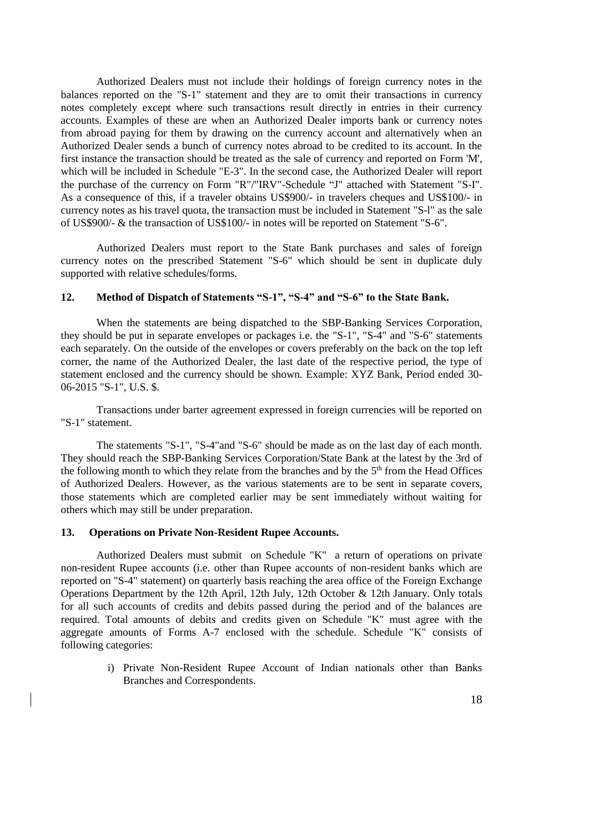Authorized Dealers must not include their holdings of foreign currency notes in the balances reported on the ["S-1"](../../AppData/Local/Microsoft/Windows/Temporary%20Internet%20Files/appendix%20files/appendix%205/ap5-101.htm) statement and they are to omit their transactions in currency notes completely except where such transactions result directly in entries in their currency accounts. Examples of these are when an Authorized Dealer imports bank or currency notes from abroad paying for them by drawing on the currency account and alternatively when an Authorized Dealer sends a bunch of currency notes abroad to be credited to its account. In the first instance the transaction should be treated as the sale of currency and reported on [Form 'M',](../../AppData/Local/Microsoft/Windows/Temporary%20Internet%20Files/appendix%20files/appendix%205/ap5-10.htm) which will be included in [Schedule "E-3".](../../AppData/Local/Microsoft/Windows/Temporary%20Internet%20Files/appendix%20files/appendix%205/ap5-110.htm) In the second case, the Authorized Dealer will report the purchase of the currency on Form ["R"](../../AppData/Local/Microsoft/Windows/Temporary%20Internet%20Files/appendix%20files/appendix%205/ap5-119.htm)[/"IRV"-](../../AppData/Local/Microsoft/Windows/Temporary%20Internet%20Files/appendix%20files/appendix%205/ap5-120.htm)Schedule "J" attached with [Statement "S-I".](../../AppData/Local/Microsoft/Windows/Temporary%20Internet%20Files/appendix%20files/appendix%205/ap5-101.htm) As a consequence of this, if a traveler obtains US\$900/- in travelers cheques and US\$100/- in currency notes as his travel quota, the transaction must be included in [Statement "S-l"](../../AppData/Local/Microsoft/Windows/Temporary%20Internet%20Files/appendix%20files/appendix%205/ap5-101.htm) as the sale of US\$900/- & the transaction of US\$100/- in notes will be reported on [Statement "S-6".](../../AppData/Local/Microsoft/Windows/Temporary%20Internet%20Files/appendix%20files/appendix%205/ap5-104.htm)

Authorized Dealers must report to the State Bank purchases and sales of foreign currency notes on the prescribed [Statement "S-6"](../../AppData/Local/Microsoft/Windows/Temporary%20Internet%20Files/appendix%20files/appendix%205/ap5-104.htm) which should be sent in duplicate duly supported with relative schedules/forms.

### **12. Method of Dispatch of Statements "S-1", "S-4" and "S-6" to the State Bank.**

When the statements are being dispatched to the SBP-Banking Services Corporation, they should be put in separate envelopes or packages i.e. the ["S-1",](../../AppData/Local/Microsoft/Windows/Temporary%20Internet%20Files/appendix%20files/appendix%205/ap5-101.htm) ["S-4"](../../AppData/Local/Microsoft/Windows/Temporary%20Internet%20Files/appendix%20files/appendix%205/ap5-102.htm) and ["S-6"](../../AppData/Local/Microsoft/Windows/Temporary%20Internet%20Files/appendix%20files/appendix%205/ap5-104.htm) statements each separately. On the outside of the envelopes or covers preferably on the back on the top left corner, the name of the Authorized Dealer, the last date of the respective period, the type of statement enclosed and the currency should be shown. Example: XYZ Bank, Period ended 30- 06-2015 ["S-1",](../../AppData/Local/Microsoft/Windows/Temporary%20Internet%20Files/appendix%20files/appendix%205/ap5-101.htm) U.S. \$.

Transactions under barter agreement expressed in foreign currencies will be reported on ["S-1" statement.](../../AppData/Local/Microsoft/Windows/Temporary%20Internet%20Files/appendix%20files/appendix%205/ap5-101.htm)

The statements ["S-1",](../../AppData/Local/Microsoft/Windows/Temporary%20Internet%20Files/appendix%20files/appendix%205/ap5-101.htm) ["S-4"a](../../AppData/Local/Microsoft/Windows/Temporary%20Internet%20Files/appendix%20files/appendix%205/ap5-102.htm)nd ["S-6"](../../AppData/Local/Microsoft/Windows/Temporary%20Internet%20Files/appendix%20files/appendix%205/ap5-104.htm) should be made as on the last day of each month. They should reach the SBP-Banking Services Corporation/State Bank at the latest by the 3rd of the following month to which they relate from the branches and by the 5<sup>th</sup> from the Head Offices of Authorized Dealers. However, as the various statements are to be sent in separate covers, those statements which are completed earlier may be sent immediately without waiting for others which may still be under preparation.

#### **13. Operations on Private Non-Resident Rupee Accounts.**

Authorized Dealers must submit on [Schedule "K"](../../AppData/Local/Microsoft/Windows/Temporary%20Internet%20Files/appendix%20files/appendix%205/ap5-121.htm) a return of operations on private non-resident Rupee accounts (i.e. other than Rupee accounts of non-resident banks which are reported on ["S-4" statement\)](../../AppData/Local/Microsoft/Windows/Temporary%20Internet%20Files/appendix%20files/appendix%205/ap5-102.htm) on quarterly basis reaching the area office of the Foreign Exchange Operations Department by the 12th April, 12th July, 12th October & 12th January. Only totals for all such accounts of credits and debits passed during the period and of the balances are required. Total amounts of debits and credits given on [Schedule "K"](../../AppData/Local/Microsoft/Windows/Temporary%20Internet%20Files/appendix%20files/appendix%205/ap5-121.htm) must agree with the aggregate amounts of [Forms A-7](../../AppData/Local/Microsoft/Windows/Temporary%20Internet%20Files/appendix%20files/appendix%205/ap5-9.htm) enclosed with the schedule. [Schedule "K"](../../AppData/Local/Microsoft/Windows/Temporary%20Internet%20Files/appendix%20files/appendix%205/ap5-121.htm) consists of following categories:

> i) Private Non-Resident Rupee Account of Indian nationals other than Banks Branches and Correspondents.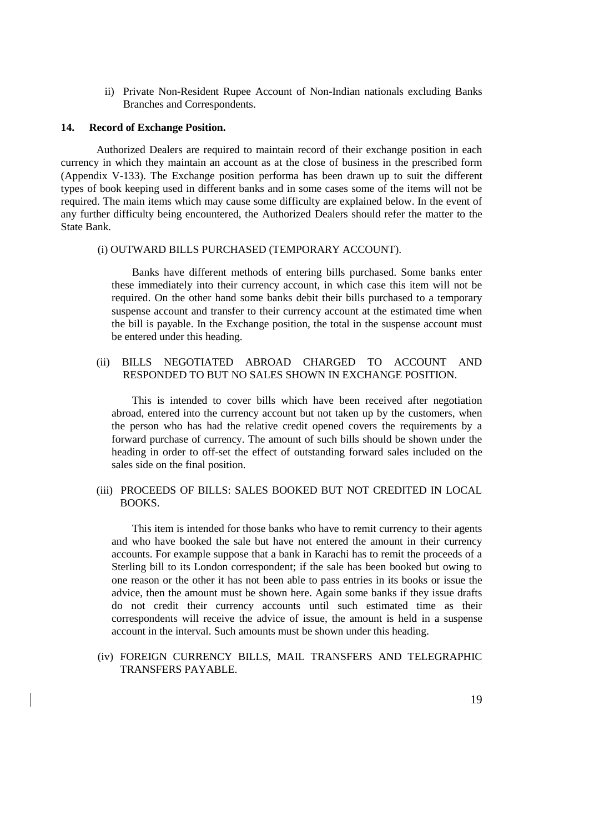ii) Private Non-Resident Rupee Account of Non-Indian nationals excluding Banks Branches and Correspondents.

#### **14. Record of Exchange Position.**

Authorized Dealers are required to maintain record of their exchange position in each currency in which they maintain an account as at the close of business in the prescribed form [\(Appendix V-1](../../AppData/Local/Microsoft/Windows/Temporary%20Internet%20Files/appendix%20files/appendix%205/ap5-131.htm)33). The Exchange position performa has been drawn up to suit the different types of book keeping used in different banks and in some cases some of the items will not be required. The main items which may cause some difficulty are explained below. In the event of any further difficulty being encountered, the Authorized Dealers should refer the matter to the State Bank.

#### (i) OUTWARD BILLS PURCHASED (TEMPORARY ACCOUNT).

Banks have different methods of entering bills purchased. Some banks enter these immediately into their currency account, in which case this item will not be required. On the other hand some banks debit their bills purchased to a temporary suspense account and transfer to their currency account at the estimated time when the bill is payable. In the Exchange position, the total in the suspense account must be entered under this heading.

### (ii) BILLS NEGOTIATED ABROAD CHARGED TO ACCOUNT AND RESPONDED TO BUT NO SALES SHOWN IN EXCHANGE POSITION.

This is intended to cover bills which have been received after negotiation abroad, entered into the currency account but not taken up by the customers, when the person who has had the relative credit opened covers the requirements by a forward purchase of currency. The amount of such bills should be shown under the heading in order to off-set the effect of outstanding forward sales included on the sales side on the final position.

### (iii) PROCEEDS OF BILLS: SALES BOOKED BUT NOT CREDITED IN LOCAL BOOKS.

This item is intended for those banks who have to remit currency to their agents and who have booked the sale but have not entered the amount in their currency accounts. For example suppose that a bank in Karachi has to remit the proceeds of a Sterling bill to its London correspondent; if the sale has been booked but owing to one reason or the other it has not been able to pass entries in its books or issue the advice, then the amount must be shown here. Again some banks if they issue drafts do not credit their currency accounts until such estimated time as their correspondents will receive the advice of issue, the amount is held in a suspense account in the interval. Such amounts must be shown under this heading.

(iv) FOREIGN CURRENCY BILLS, MAIL TRANSFERS AND TELEGRAPHIC TRANSFERS PAYABLE.